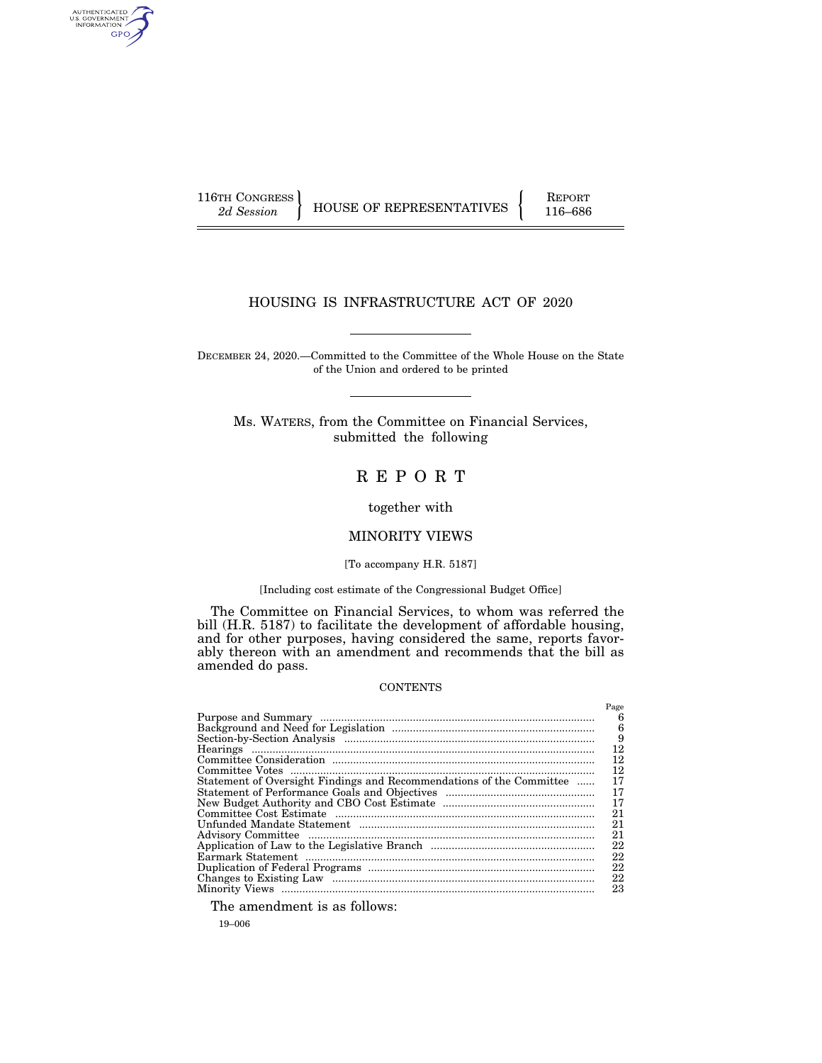AUTHENTICATED<br>U.S. GOVERNMENT<br>INFORMATION GPO

116TH CONGRESS HOUSE OF REPRESENTATIVES FEPORT 116–686

# HOUSING IS INFRASTRUCTURE ACT OF 2020

DECEMBER 24, 2020.—Committed to the Committee of the Whole House on the State of the Union and ordered to be printed

Ms. WATERS, from the Committee on Financial Services, submitted the following

# R E P O R T

together with

# MINORITY VIEWS

## [To accompany H.R. 5187]

## [Including cost estimate of the Congressional Budget Office]

The Committee on Financial Services, to whom was referred the bill (H.R. 5187) to facilitate the development of affordable housing, and for other purposes, having considered the same, reports favorably thereon with an amendment and recommends that the bill as amended do pass.

## **CONTENTS**

|                                                                      | Page |
|----------------------------------------------------------------------|------|
|                                                                      | 6    |
|                                                                      | 6    |
|                                                                      | 9    |
|                                                                      | 12   |
|                                                                      | 12   |
|                                                                      | 12   |
| Statement of Oversight Findings and Recommendations of the Committee | 17   |
|                                                                      | 17   |
|                                                                      | 17   |
|                                                                      | 21   |
|                                                                      | 21   |
|                                                                      | 21   |
|                                                                      | 22   |
|                                                                      | 22   |
|                                                                      | 22   |
|                                                                      | 22   |
|                                                                      | 23   |

The amendment is as follows:

19–006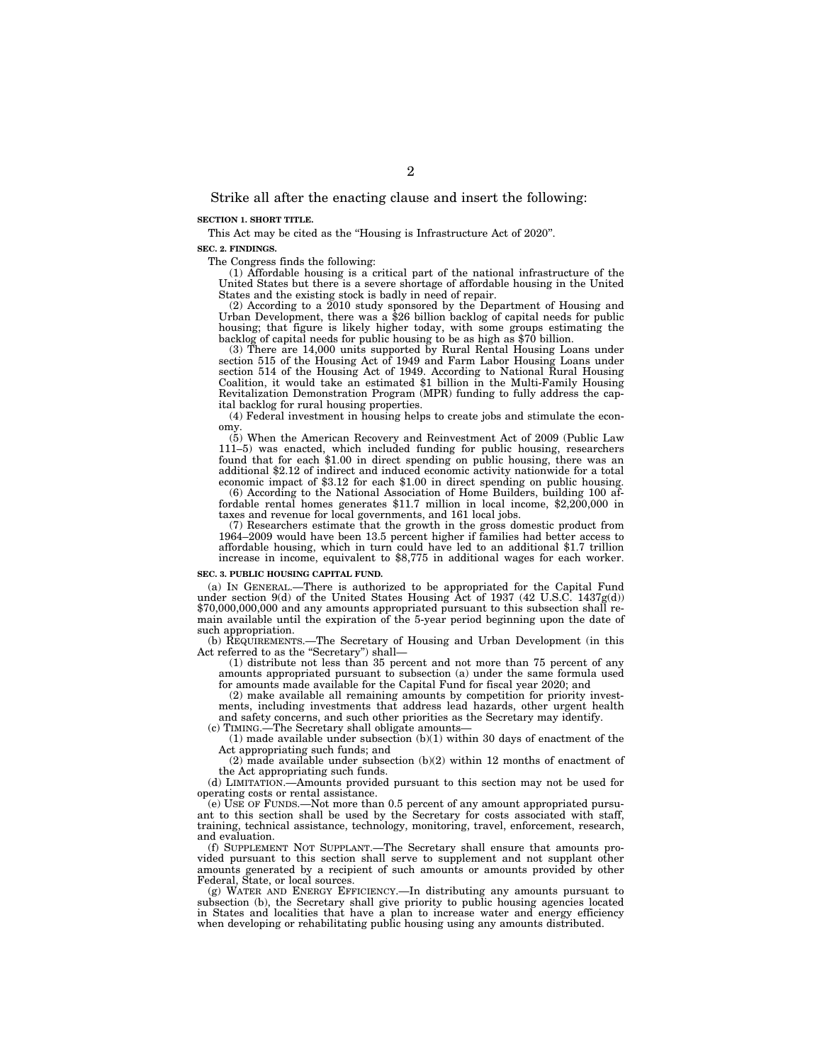Strike all after the enacting clause and insert the following:

### **SECTION 1. SHORT TITLE.**

This Act may be cited as the ''Housing is Infrastructure Act of 2020''.

#### **SEC. 2. FINDINGS.**

The Congress finds the following:

(1) Affordable housing is a critical part of the national infrastructure of the United States but there is a severe shortage of affordable housing in the United States and the existing stock is badly in need of repair.

(2) According to a 2010 study sponsored by the Department of Housing and Urban Development, there was a \$26 billion backlog of capital needs for public housing; that figure is likely higher today, with some groups estimating the backlog of capital needs for public housing to be as high as \$70 billion.

(3) There are 14,000 units supported by Rural Rental Housing Loans under section 515 of the Housing Act of 1949 and Farm Labor Housing Loans under section 514 of the Housing Act of 1949. According to National Rural Housing Coalition, it would take an estimated \$1 billion in the Multi-Family Housing Revitalization Demonstration Program (MPR) funding to fully address the capital backlog for rural housing properties.

(4) Federal investment in housing helps to create jobs and stimulate the economy.

(5) When the American Recovery and Reinvestment Act of 2009 (Public Law 111–5) was enacted, which included funding for public housing, researchers found that for each \$1.00 in direct spending on public housing, there was an additional \$2.12 of indirect and induced economic activity nationwide for a total economic impact of \$3.12 for each \$1.00 in direct spending on public housing.

(6) According to the National Association of Home Builders, building 100 affordable rental homes generates \$11.7 million in local income, \$2,200,000 in taxes and revenue for local governments, and 161 local jobs.

(7) Researchers estimate that the growth in the gross domestic product from 1964–2009 would have been 13.5 percent higher if families had better access to affordable housing, which in turn could have led to an additional \$1.7 trillion increase in income, equivalent to \$8,775 in additional wages for each worker.

#### **SEC. 3. PUBLIC HOUSING CAPITAL FUND.**

(a) IN GENERAL.—There is authorized to be appropriated for the Capital Fund under section 9(d) of the United States Housing  $Act$  of 1937 (42 U.S.C. 1437g(d)) \$70,000,000,000 and any amounts appropriated pursuant to this subsection shall remain available until the expiration of the 5-year period beginning upon the date of such appropriation.

(b) REQUIREMENTS.—The Secretary of Housing and Urban Development (in this Act referred to as the "Secretary") shall-

(1) distribute not less than 35 percent and not more than 75 percent of any amounts appropriated pursuant to subsection (a) under the same formula used for amounts made available for the Capital Fund for fiscal year 2020; and

(2) make available all remaining amounts by competition for priority investments, including investments that address lead hazards, other urgent health and safety concerns, and such other priorities as the Secretary may identify.

(c) TIMING.—The Secretary shall obligate amounts—

 $(1)$  made available under subsection  $(b)(1)$  within 30 days of enactment of the Act appropriating such funds; and

(2) made available under subsection (b)(2) within 12 months of enactment of the Act appropriating such funds.

(d) LIMITATION.—Amounts provided pursuant to this section may not be used for operating costs or rental assistance.

(e) USE OF FUNDS.—Not more than 0.5 percent of any amount appropriated pursuant to this section shall be used by the Secretary for costs associated with staff, training, technical assistance, technology, monitoring, travel, enforcement, research, and evaluation.

(f) SUPPLEMENT NOT SUPPLANT.—The Secretary shall ensure that amounts provided pursuant to this section shall serve to supplement and not supplant other amounts generated by a recipient of such amounts or amounts provided by other Federal, State, or local sources.

(g) WATER AND ENERGY EFFICIENCY.—In distributing any amounts pursuant to subsection (b), the Secretary shall give priority to public housing agencies located in States and localities that have a plan to increase water and energy efficiency when developing or rehabilitating public housing using any amounts distributed.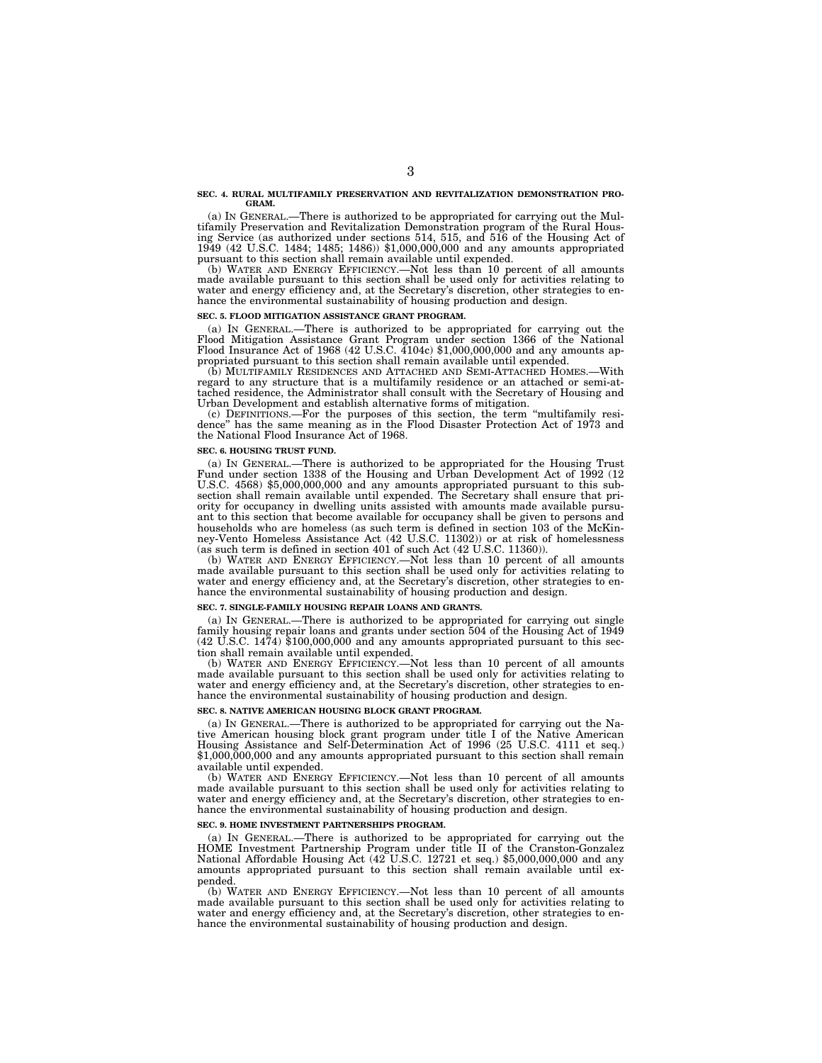#### **SEC. 4. RURAL MULTIFAMILY PRESERVATION AND REVITALIZATION DEMONSTRATION PRO-GRAM.**

(a) IN GENERAL.—There is authorized to be appropriated for carrying out the Multifamily Preservation and Revitalization Demonstration program of the Rural Hous-ing Service (as authorized under sections 514, 515, and 516 of the Housing Act of 1949 (42 U.S.C. 1484; 1485; 1486)) \$1,000,000,000 and any amounts appropriated pursuant to this section shall remain available until expended.

(b) WATER AND ENERGY EFFICIENCY.—Not less than 10 percent of all amounts made available pursuant to this section shall be used only for activities relating to water and energy efficiency and, at the Secretary's discretion, other strategies to enhance the environmental sustainability of housing production and design.

#### **SEC. 5. FLOOD MITIGATION ASSISTANCE GRANT PROGRAM.**

(a) IN GENERAL.—There is authorized to be appropriated for carrying out the Flood Mitigation Assistance Grant Program under section 1366 of the National Flood Insurance Act of 1968 (42 U.S.C. 4104c) \$1,000,000,000 and any amounts appropriated pursuant to this section shall remain available until expended.

(b) MULTIFAMILY RESIDENCES AND ATTACHED AND SEMI-ATTACHED HOMES.—With regard to any structure that is a multifamily residence or an attached or semi-attached residence, the Administrator shall consult with the Secretary of Housing and Urban Development and establish alternative forms of mitigation.

(c) DEFINITIONS.—For the purposes of this section, the term ''multifamily residence'' has the same meaning as in the Flood Disaster Protection Act of 1973 and the National Flood Insurance Act of 1968.

#### **SEC. 6. HOUSING TRUST FUND.**

(a) IN GENERAL.—There is authorized to be appropriated for the Housing Trust Fund under section 1338 of the Housing and Urban Development Act of 1992 (12 U.S.C. 4568) \$5,000,000,000 and any amounts appropriated pursuant to this subsection shall remain available until expended. The Secretary shall ensure that priority for occupancy in dwelling units assisted with amounts made available pursuant to this section that become available for occupancy shall be given to persons and households who are homeless (as such term is defined in section 103 of the McKinney-Vento Homeless Assistance Act (42 U.S.C. 11302)) or at risk of homelessness (as such term is defined in section 401 of such Act (42 U.S.C. 11360)).

(b) WATER AND ENERGY EFFICIENCY.—Not less than 10 percent of all amounts made available pursuant to this section shall be used only for activities relating to water and energy efficiency and, at the Secretary's discretion, other strategies to enhance the environmental sustainability of housing production and design.

#### **SEC. 7. SINGLE-FAMILY HOUSING REPAIR LOANS AND GRANTS.**

(a) IN GENERAL.—There is authorized to be appropriated for carrying out single family housing repair loans and grants under section 504 of the Housing Act of 1949 (42 U.S.C. 1474) \$100,000,000 and any amounts appropriated pursuant to this section shall remain available until expended.

(b) WATER AND ENERGY EFFICIENCY.—Not less than 10 percent of all amounts made available pursuant to this section shall be used only for activities relating to water and energy efficiency and, at the Secretary's discretion, other strategies to enhance the environmental sustainability of housing production and design.

#### **SEC. 8. NATIVE AMERICAN HOUSING BLOCK GRANT PROGRAM.**

(a) IN GENERAL.—There is authorized to be appropriated for carrying out the Native American housing block grant program under title I of the Native American Housing Assistance and Self-Determination Act of 1996 (25 U.S.C. 4111 et seq.)  $$1,000,000,000$  and any amounts appropriated pursuant to this section shall remain available until expended.

(b) WATER AND ENERGY EFFICIENCY.—Not less than 10 percent of all amounts made available pursuant to this section shall be used only for activities relating to water and energy efficiency and, at the Secretary's discretion, other strategies to enhance the environmental sustainability of housing production and design.

#### **SEC. 9. HOME INVESTMENT PARTNERSHIPS PROGRAM.**

(a) IN GENERAL.—There is authorized to be appropriated for carrying out the HOME Investment Partnership Program under title II of the Cranston-Gonzalez National Affordable Housing Act (42 U.S.C. 12721 et seq.) \$5,000,000,000 and any amounts appropriated pursuant to this section shall remain available until expended.

(b) WATER AND ENERGY EFFICIENCY.—Not less than 10 percent of all amounts made available pursuant to this section shall be used only for activities relating to water and energy efficiency and, at the Secretary's discretion, other strategies to enhance the environmental sustainability of housing production and design.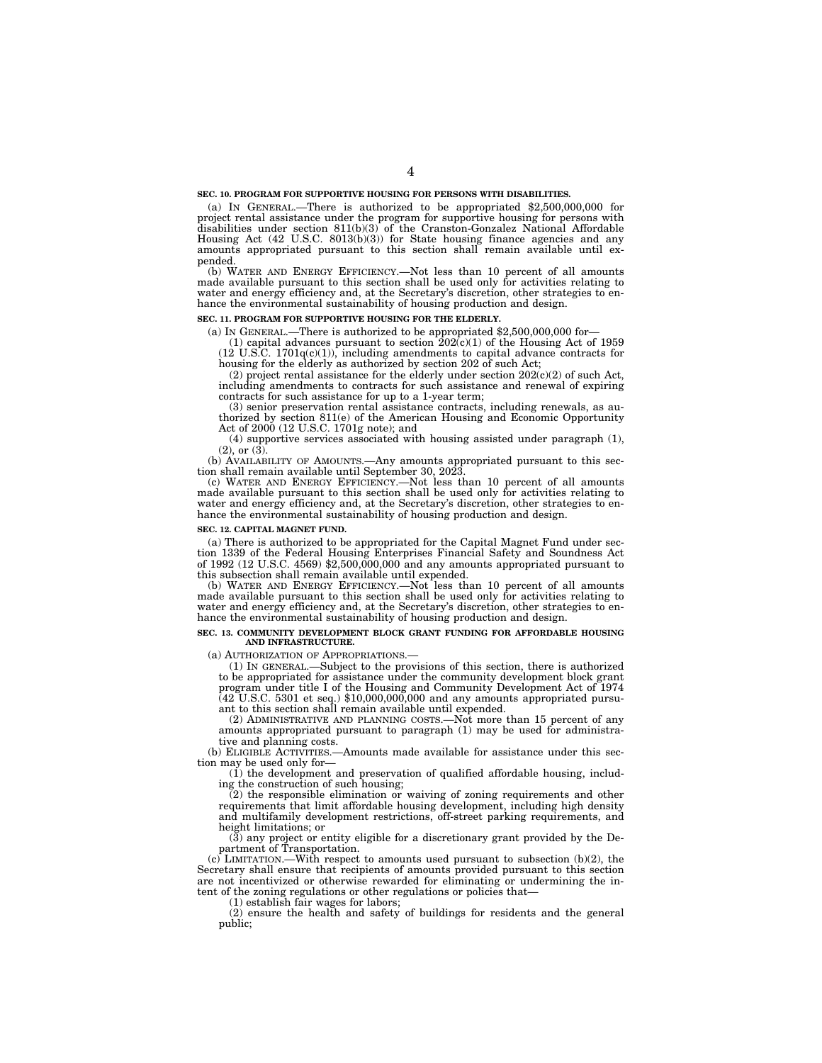#### **SEC. 10. PROGRAM FOR SUPPORTIVE HOUSING FOR PERSONS WITH DISABILITIES.**

(a) IN GENERAL.—There is authorized to be appropriated \$2,500,000,000 for project rental assistance under the program for supportive housing for persons with disabilities under section 811(b)(3) of the Cranston-Gonzalez National Affordable Housing Act (42 U.S.C. 8013(b)(3)) for State housing finance agencies and any amounts appropriated pursuant to this section shall remain available until expended.

(b) WATER AND ENERGY EFFICIENCY.—Not less than 10 percent of all amounts made available pursuant to this section shall be used only for activities relating to water and energy efficiency and, at the Secretary's discretion, other strategies to enhance the environmental sustainability of housing production and design.

#### **SEC. 11. PROGRAM FOR SUPPORTIVE HOUSING FOR THE ELDERLY.**

(a) IN GENERAL.—There is authorized to be appropriated \$2,500,000,000 for—

(1) capital advances pursuant to section  $202(c)(1)$  of the Housing Act of 1959  $(12 \text{ U.S.C. } 1701q(c)(1)),$  including amendments to capital advance contracts for housing for the elderly as authorized by section 202 of such Act;

(2) project rental assistance for the elderly under section  $202(c)(2)$  of such Act, including amendments to contracts for such assistance and renewal of expiring contracts for such assistance for up to a 1-year term;

(3) senior preservation rental assistance contracts, including renewals, as authorized by section 811(e) of the American Housing and Economic Opportunity Act of 2000 (12 U.S.C. 1701g note); and

(4) supportive services associated with housing assisted under paragraph (1),  $(2)$ , or  $(3)$ .

(b) AVAILABILITY OF AMOUNTS.—Any amounts appropriated pursuant to this section shall remain available until September 30, 2023.

(c) WATER AND ENERGY EFFICIENCY.—Not less than 10 percent of all amounts made available pursuant to this section shall be used only for activities relating to water and energy efficiency and, at the Secretary's discretion, other strategies to enhance the environmental sustainability of housing production and design.

#### **SEC. 12. CAPITAL MAGNET FUND.**

(a) There is authorized to be appropriated for the Capital Magnet Fund under section 1339 of the Federal Housing Enterprises Financial Safety and Soundness Act of 1992 (12 U.S.C. 4569) \$2,500,000,000 and any amounts appropriated pursuant to this subsection shall remain available until expended.

(b) WATER AND ENERGY EFFICIENCY.—Not less than 10 percent of all amounts made available pursuant to this section shall be used only for activities relating to water and energy efficiency and, at the Secretary's discretion, other strategies to enhance the environmental sustainability of housing production and design.

#### **SEC. 13. COMMUNITY DEVELOPMENT BLOCK GRANT FUNDING FOR AFFORDABLE HOUSING AND INFRASTRUCTURE.**

(a) AUTHORIZATION OF APPROPRIATIONS.—

(1) IN GENERAL.—Subject to the provisions of this section, there is authorized to be appropriated for assistance under the community development block grant program under title I of the Housing and Community Development Act of 1974 (42 U.S.C. 5301 et seq.) \$10,000,000,000 and any amounts appropriated pursuant to this section shall remain available until expended.

(2) ADMINISTRATIVE AND PLANNING COSTS.—Not more than 15 percent of any amounts appropriated pursuant to paragraph (1) may be used for administrative and planning costs.

(b) ELIGIBLE ACTIVITIES.—Amounts made available for assistance under this section may be used only for—

(1) the development and preservation of qualified affordable housing, including the construction of such housing;

(2) the responsible elimination or waiving of zoning requirements and other requirements that limit affordable housing development, including high density and multifamily development restrictions, off-street parking requirements, and height limitations; or

(3) any project or entity eligible for a discretionary grant provided by the Department of Transportation.

 $(c)$  LIMITATION.—With respect to amounts used pursuant to subsection  $(b)(2)$ , the Secretary shall ensure that recipients of amounts provided pursuant to this section are not incentivized or otherwise rewarded for eliminating or undermining the intent of the zoning regulations or other regulations or policies that-

(1) establish fair wages for labors;

(2) ensure the health and safety of buildings for residents and the general public;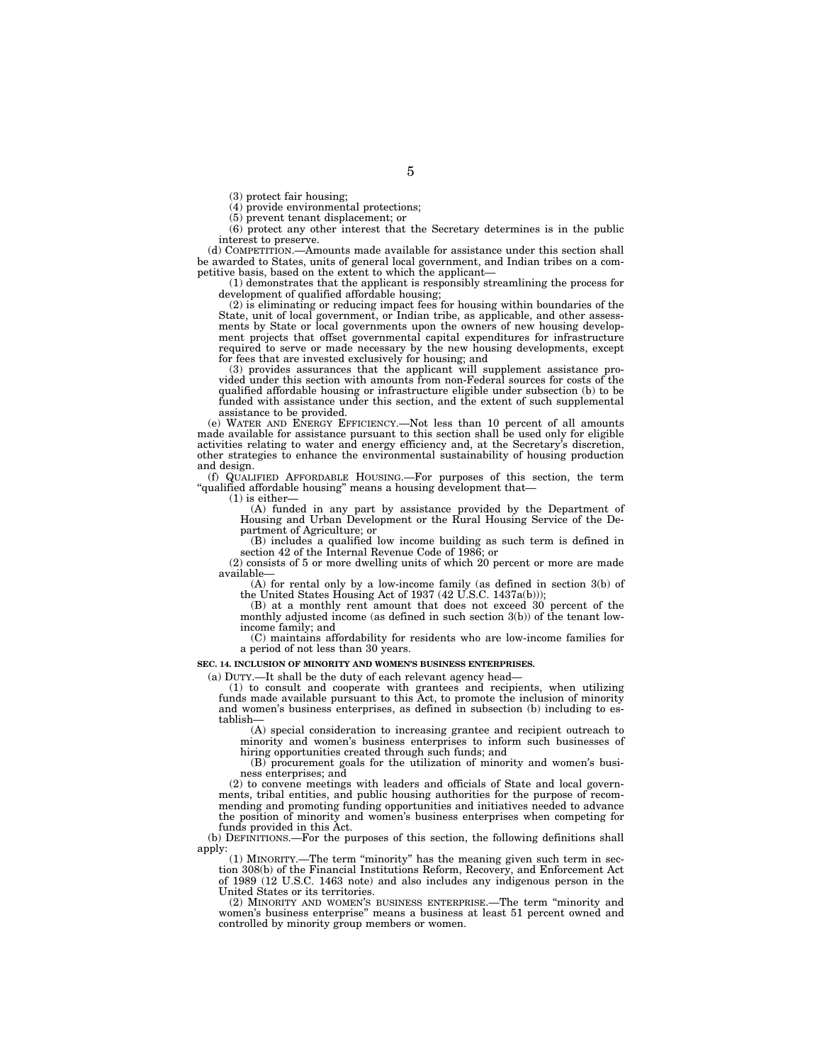(3) protect fair housing;

(4) provide environmental protections;

(5) prevent tenant displacement; or

(6) protect any other interest that the Secretary determines is in the public interest to preserve.

(d) COMPETITION.—Amounts made available for assistance under this section shall be awarded to States, units of general local government, and Indian tribes on a competitive basis, based on the extent to which the applicant—

(1) demonstrates that the applicant is responsibly streamlining the process for development of qualified affordable housing;

(2) is eliminating or reducing impact fees for housing within boundaries of the State, unit of local government, or Indian tribe, as applicable, and other assessments by State or local governments upon the owners of new housing development projects that offset governmental capital expenditures for infrastructure required to serve or made necessary by the new housing developments, except for fees that are invested exclusively for housing; and

(3) provides assurances that the applicant will supplement assistance provided under this section with amounts from non-Federal sources for costs of the qualified affordable housing or infrastructure eligible under subsection (b) to be funded with assistance under this section, and the extent of such supplemental assistance to be provided.

(e) WATER AND ENERGY EFFICIENCY.—Not less than 10 percent of all amounts made available for assistance pursuant to this section shall be used only for eligible activities relating to water and energy efficiency and, at the Secretary's discretion, other strategies to enhance the environmental sustainability of housing production and design.

(f) QUALIFIED AFFORDABLE HOUSING.—For purposes of this section, the term ''qualified affordable housing'' means a housing development that—

(1) is either—

(A) funded in any part by assistance provided by the Department of Housing and Urban Development or the Rural Housing Service of the Department of Agriculture; or

(B) includes a qualified low income building as such term is defined in section 42 of the Internal Revenue Code of 1986; or

 $(2)$  consists of 5 or more dwelling units of which  $20$  percent or more are made available—

(A) for rental only by a low-income family (as defined in section 3(b) of the United States Housing Act of 1937 (42 U.S.C. 1437a(b)));

(B) at a monthly rent amount that does not exceed 30 percent of the monthly adjusted income (as defined in such section 3(b)) of the tenant lowincome family; and

(C) maintains affordability for residents who are low-income families for a period of not less than 30 years.

#### **SEC. 14. INCLUSION OF MINORITY AND WOMEN'S BUSINESS ENTERPRISES.**

(a) DUTY.—It shall be the duty of each relevant agency head—

(1) to consult and cooperate with grantees and recipients, when utilizing funds made available pursuant to this Act, to promote the inclusion of minority and women's business enterprises, as defined in subsection (b) including to establish—

(A) special consideration to increasing grantee and recipient outreach to minority and women's business enterprises to inform such businesses of hiring opportunities created through such funds; and

(B) procurement goals for the utilization of minority and women's business enterprises; and

(2) to convene meetings with leaders and officials of State and local governments, tribal entities, and public housing authorities for the purpose of recommending and promoting funding opportunities and initiatives needed to advance the position of minority and women's business enterprises when competing for funds provided in this Act.

(b) DEFINITIONS.—For the purposes of this section, the following definitions shall apply:

(1) MINORITY.—The term ''minority'' has the meaning given such term in section 308(b) of the Financial Institutions Reform, Recovery, and Enforcement Act of 1989 (12 U.S.C. 1463 note) and also includes any indigenous person in the United States or its territories.

(2) MINORITY AND WOMEN'S BUSINESS ENTERPRISE.—The term ''minority and women's business enterprise'' means a business at least 51 percent owned and controlled by minority group members or women.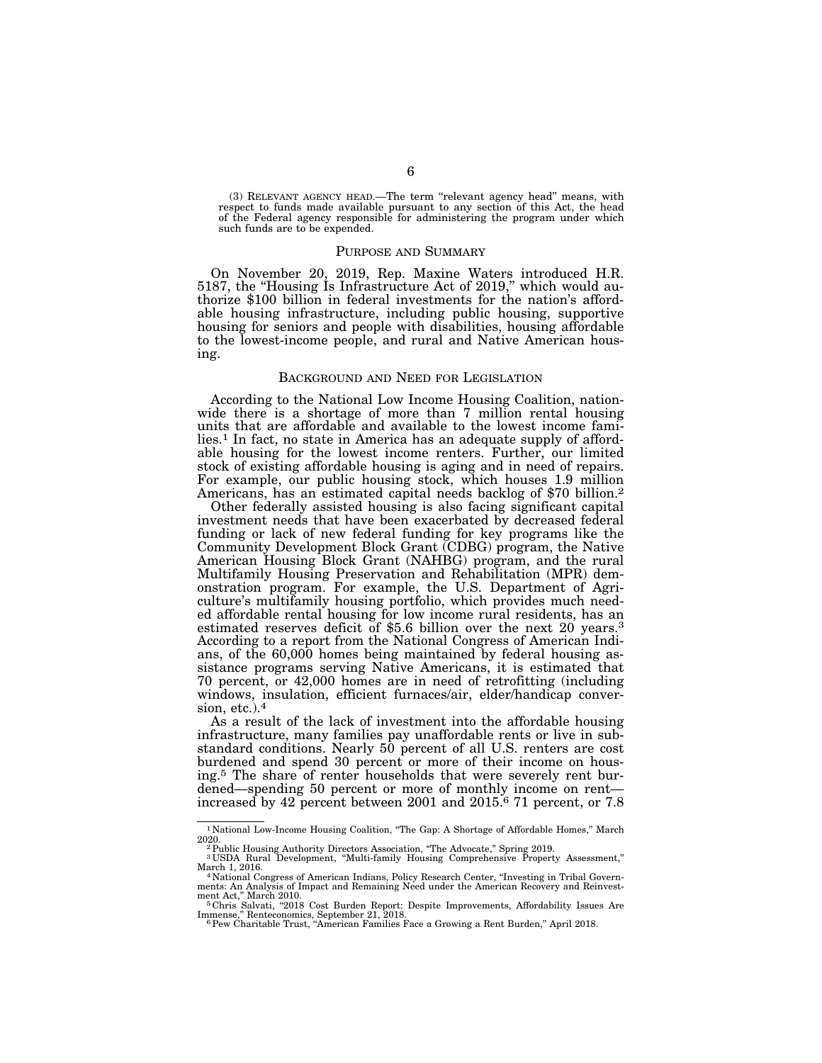(3) RELEVANT AGENCY HEAD.—The term ''relevant agency head'' means, with respect to funds made available pursuant to any section of this Act, the head of the Federal agency responsible for administering the program under which such funds are to be expended.

## PURPOSE AND SUMMARY

On November 20, 2019, Rep. Maxine Waters introduced H.R. 5187, the "Housing Is Infrastructure Act of 2019," which would authorize \$100 billion in federal investments for the nation's affordable housing infrastructure, including public housing, supportive housing for seniors and people with disabilities, housing affordable to the lowest-income people, and rural and Native American housing.

#### BACKGROUND AND NEED FOR LEGISLATION

According to the National Low Income Housing Coalition, nationwide there is a shortage of more than 7 million rental housing units that are affordable and available to the lowest income families.<sup>1</sup> In fact, no state in America has an adequate supply of affordable housing for the lowest income renters. Further, our limited stock of existing affordable housing is aging and in need of repairs. For example, our public housing stock, which houses 1.9 million Americans, has an estimated capital needs backlog of \$70 billion.2

Other federally assisted housing is also facing significant capital investment needs that have been exacerbated by decreased federal funding or lack of new federal funding for key programs like the Community Development Block Grant (CDBG) program, the Native American Housing Block Grant (NAHBG) program, and the rural Multifamily Housing Preservation and Rehabilitation (MPR) demonstration program. For example, the U.S. Department of Agriculture's multifamily housing portfolio, which provides much needed affordable rental housing for low income rural residents, has an estimated reserves deficit of \$5.6 billion over the next 20 years.<sup>3</sup> According to a report from the National Congress of American Indians, of the 60,000 homes being maintained by federal housing assistance programs serving Native Americans, it is estimated that 70 percent, or 42,000 homes are in need of retrofitting (including windows, insulation, efficient furnaces/air, elder/handicap conversion, etc.).4

As a result of the lack of investment into the affordable housing infrastructure, many families pay unaffordable rents or live in substandard conditions. Nearly 50 percent of all U.S. renters are cost burdened and spend 30 percent or more of their income on housing.5 The share of renter households that were severely rent burdened—spending 50 percent or more of monthly income on rent increased by 42 percent between 2001 and 2015.6 71 percent, or 7.8

 $^{\rm 1}$  National Low-Income Housing Coalition, "The Gap: A Shortage of Affordable Homes," March 2020.

<sup>2020.&</sup>lt;br><sup>2</sup> Public Housing Authority Directors Association, "The Advocate," Spring 2019.<br><sup>3</sup> USDA Rural Development, "Multi-family Housing Comprehensive Property Assessment,"

March 1, 2016.<br>4 National Congress of American Indians, Policy Research Center, "Investing in Tribal Govern-<br>ments: An Analysis of Impact and Remaining Need under the American Recovery and Reinvest-

ment Act,'' March 2010. 5 Chris Salvati, ''2018 Cost Burden Report: Despite Improvements, Affordability Issues Are Immense," Renteconomics, September 21, 2018.<br><sup>6</sup>Pew Charitable Trust, "American Families Face a Growing a Rent Burden," April 2018.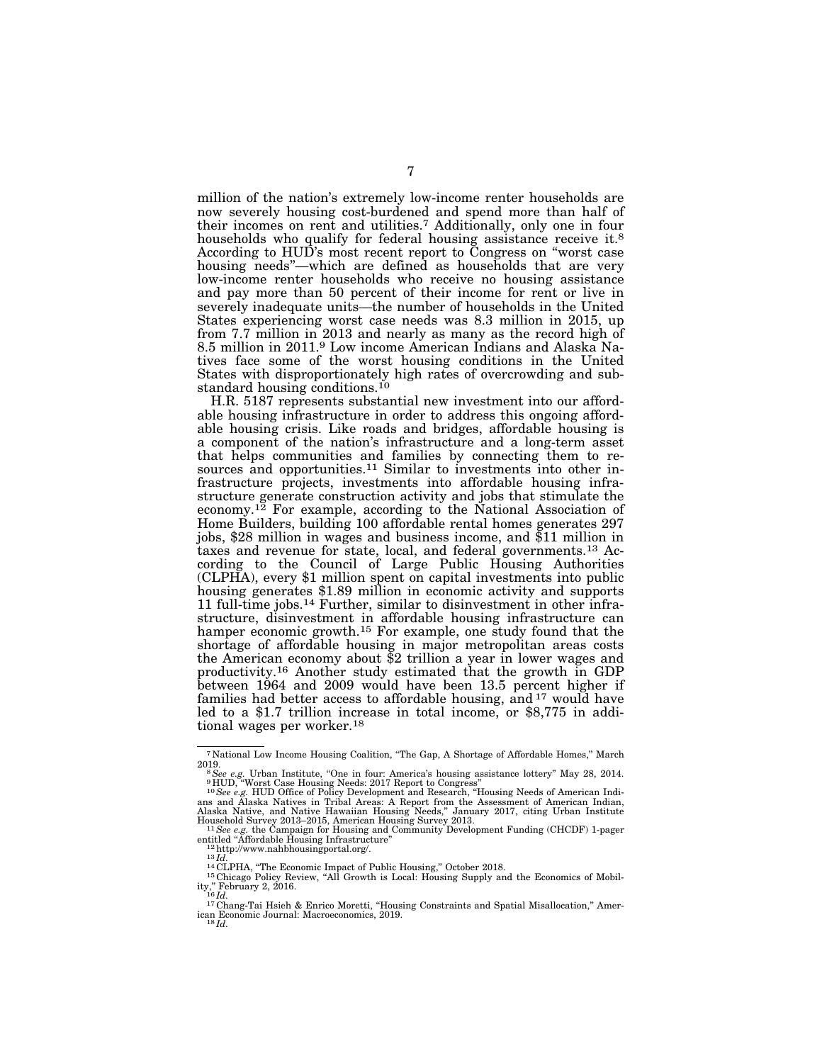million of the nation's extremely low-income renter households are now severely housing cost-burdened and spend more than half of their incomes on rent and utilities.7 Additionally, only one in four households who qualify for federal housing assistance receive it.<sup>8</sup> According to HUD's most recent report to Congress on ''worst case housing needs''—which are defined as households that are very low-income renter households who receive no housing assistance and pay more than 50 percent of their income for rent or live in severely inadequate units—the number of households in the United States experiencing worst case needs was 8.3 million in 2015, up from 7.7 million in 2013 and nearly as many as the record high of 8.5 million in 2011.9 Low income American Indians and Alaska Natives face some of the worst housing conditions in the United States with disproportionately high rates of overcrowding and substandard housing conditions.<sup>10</sup>

H.R. 5187 represents substantial new investment into our affordable housing infrastructure in order to address this ongoing affordable housing crisis. Like roads and bridges, affordable housing is a component of the nation's infrastructure and a long-term asset that helps communities and families by connecting them to resources and opportunities.<sup>11</sup> Similar to investments into other infrastructure projects, investments into affordable housing infrastructure generate construction activity and jobs that stimulate the economy.<sup>12</sup> For example, according to the National Association of Home Builders, building 100 affordable rental homes generates 297 jobs, \$28 million in wages and business income, and \$11 million in taxes and revenue for state, local, and federal governments.13 According to the Council of Large Public Housing Authorities (CLPHA), every \$1 million spent on capital investments into public housing generates \$1.89 million in economic activity and supports 11 full-time jobs.14 Further, similar to disinvestment in other infrastructure, disinvestment in affordable housing infrastructure can hamper economic growth.15 For example, one study found that the shortage of affordable housing in major metropolitan areas costs the American economy about \$2 trillion a year in lower wages and productivity.16 Another study estimated that the growth in GDP between 1964 and 2009 would have been 13.5 percent higher if families had better access to affordable housing, and <sup>17</sup> would have led to a \$1.7 trillion increase in total income, or \$8,775 in additional wages per worker.18

 $^7$  National Low Income Housing Coalition, "The Gap, A Shortage of Affordable Homes," March 2019.

<sup>2019.&</sup>lt;br>
<sup>8</sup> See e.g. Urban Institute, "One in four: America's housing assistance lottery" May 28, 2014.<br>
<sup>9</sup> HUD, "Worst Case Housing Needs: 2017 Report to Congress"<br>
<sup>10</sup> See e.g. HUD Office of Policy Development and Rese

Household Survey 2013–2015, American Housing Survey 2013.<br>
<sup>11</sup>See e.g. the Campaign for Housing and Community Development Funding (CHCDF) 1-pager<br>
entitled "Affordable Housing Infrastructure" entitled "Affordable Housing Infrastructure"<br>
<sup>12</sup>http://www.nahbhousingportal.org/.<br>
<sup>14</sup>CLPHA, "The Economic Impact of Public Housing," October 2018.<br>
<sup>14</sup>CLPHA, "The Economic Impact of Public Housing," October 2018.<br>
<sup>1</sup>

ity," February 2, 2016.<br><sup>16</sup>Id.<br><sup>17</sup> Chang-Tai Hsieh & Enrico Moretti, "Housing Constraints and Spatial Misallocation," Amer-

<sup>&</sup>lt;sup>17</sup>Chang-Tai Hsieh & Enrico Moretti, "Housing Constraints and Spatial Misallocation," American Economic Journal: Macroeconomics, 2019.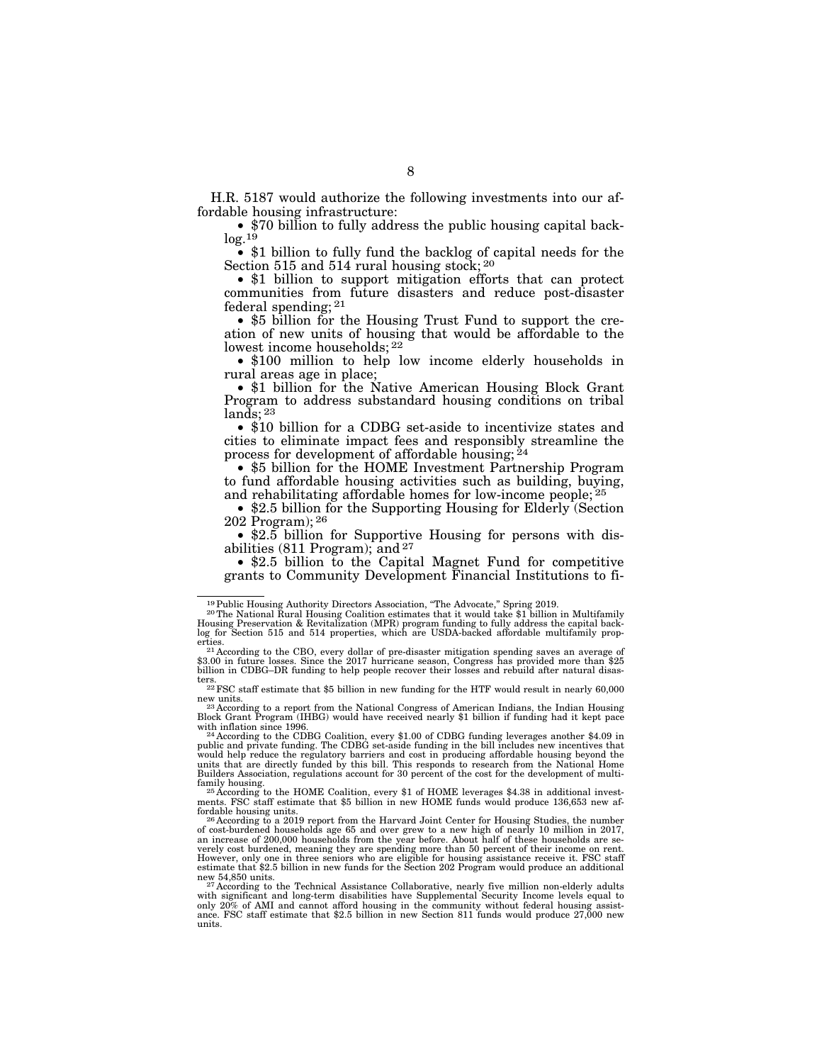H.R. 5187 would authorize the following investments into our affordable housing infrastructure:

• \$70 billion to fully address the public housing capital back $log.1\overline{9}$ 

• \$1 billion to fully fund the backlog of capital needs for the Section 515 and 514 rural housing stock; 20

• \$1 billion to support mitigation efforts that can protect communities from future disasters and reduce post-disaster federal spending; 21

• \$5 billion for the Housing Trust Fund to support the creation of new units of housing that would be affordable to the lowest income households; 22

• \$100 million to help low income elderly households in rural areas age in place;

• \$1 billion for the Native American Housing Block Grant Program to address substandard housing conditions on tribal lands; 23

• \$10 billion for a CDBG set-aside to incentivize states and cities to eliminate impact fees and responsibly streamline the process for development of affordable housing; 24

• \$5 billion for the HOME Investment Partnership Program to fund affordable housing activities such as building, buying, and rehabilitating affordable homes for low-income people; 25

• \$2.5 billion for the Supporting Housing for Elderly (Section 202 Program); 26

• \$2.5 billion for Supportive Housing for persons with disabilities  $(811$  Program); and  $27$ 

• \$2.5 billion to the Capital Magnet Fund for competitive grants to Community Development Financial Institutions to fi-

ters. 22FSC staff estimate that \$5 billion in new funding for the HTF would result in nearly 60,000

new units.<br><sup>23</sup> According to a report from the National Congress of American Indians, the Indian Housing<br>Block Grant Program (IHBG) would have received nearly \$1 billion if funding had it kept pace

with inflation since 1996.<br><sup>24</sup> According to the CDBG Coalition, every \$1.00 of CDBG funding leverages another \$4.09 in<br>public and private funding. The CDBG set-aside funding in the bill includes new incentives that<br>would units that are directly funded by this bill. This responds to research from the National Home Builders Association, regulations account for 30 percent of the cost for the development of multi-

<sup>25</sup> According to the HOME Coalition, every \$1 of HOME leverages \$4.38 in additional invest- ments. FSC staff estimate that \$5 billion in new HOME funds would produce 136,653 new af-<br>fordable housing units.

fordable housing units.<br><sup>26</sup> According to a 2019 report from the Harvard Joint Center for Housing Studies, the number<br>of cost-burdened households age 65 and over grew to a new high of nearly 10 million in 2017,<br>an increase verely cost burdened, meaning they are spending more than 50 percent of their income on rent. However, only one in three seniors who are eligible for housing assistance receive it. FSC staff estimate that \$2.5 billion in new funds for the Section 202 Program would produce an additional

new 54,850 units.<br><sup>27</sup> According to the Technical Assistance Collaborative, nearly five million non-elderly adults<br>with significant and long-term disabilities have Supplemental Security Income levels equal to only 20% of AMI and cannot afford housing in the community without federal housing assist-ance. FSC staff estimate that \$2.5 billion in new Section 811 funds would produce 27,000 new units.

<sup>&</sup>lt;sup>19</sup> Public Housing Authority Directors Association, "The Advocate," Spring 2019.<br><sup>20</sup> The National Rural Housing Coalition estimates that it would take \$1 billion in Multifamily Housing Preservation & Revitalization (MPR) program funding to fully address the capital back-log for Section 515 and 514 properties, which are USDA-backed affordable multifamily prop-

erties.<br><sup>21</sup> According to the CBO, every dollar of pre-disaster mitigation spending saves an average of \$3.00 in future losses. Since the 2017 hurricane season, Congress has provided more than \$25 billion in CDBG–DR funding to help people recover their losses and rebuild after natural disas-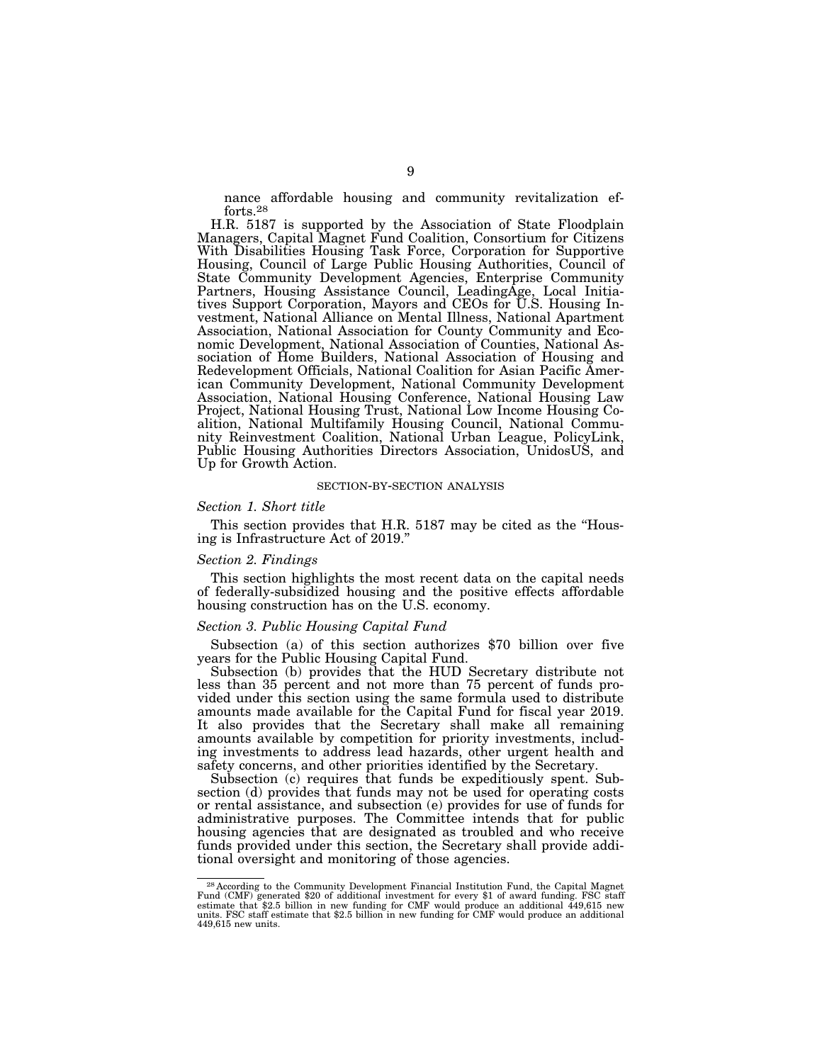nance affordable housing and community revitalization efforts.28

H.R. 5187 is supported by the Association of State Floodplain Managers, Capital Magnet Fund Coalition, Consortium for Citizens With Disabilities Housing Task Force, Corporation for Supportive Housing, Council of Large Public Housing Authorities, Council of State Community Development Agencies, Enterprise Community Partners, Housing Assistance Council, LeadingAge, Local Initiatives Support Corporation, Mayors and CEOs for U.S. Housing Investment, National Alliance on Mental Illness, National Apartment Association, National Association for County Community and Economic Development, National Association of Counties, National Association of Home Builders, National Association of Housing and Redevelopment Officials, National Coalition for Asian Pacific American Community Development, National Community Development Association, National Housing Conference, National Housing Law Project, National Housing Trust, National Low Income Housing Coalition, National Multifamily Housing Council, National Community Reinvestment Coalition, National Urban League, PolicyLink, Public Housing Authorities Directors Association, UnidosUS, and Up for Growth Action.

#### SECTION-BY-SECTION ANALYSIS

## *Section 1. Short title*

This section provides that H.R. 5187 may be cited as the "Housing is Infrastructure Act of 2019.''

## *Section 2. Findings*

This section highlights the most recent data on the capital needs of federally-subsidized housing and the positive effects affordable housing construction has on the U.S. economy.

## *Section 3. Public Housing Capital Fund*

Subsection (a) of this section authorizes \$70 billion over five years for the Public Housing Capital Fund.

Subsection (b) provides that the HUD Secretary distribute not less than 35 percent and not more than 75 percent of funds provided under this section using the same formula used to distribute amounts made available for the Capital Fund for fiscal year 2019. It also provides that the Secretary shall make all remaining amounts available by competition for priority investments, including investments to address lead hazards, other urgent health and safety concerns, and other priorities identified by the Secretary.

Subsection (c) requires that funds be expeditiously spent. Subsection (d) provides that funds may not be used for operating costs or rental assistance, and subsection (e) provides for use of funds for administrative purposes. The Committee intends that for public housing agencies that are designated as troubled and who receive funds provided under this section, the Secretary shall provide additional oversight and monitoring of those agencies.

<sup>28</sup> According to the Community Development Financial Institution Fund, the Capital Magnet Fund (CMF) generated \$20 of additional investment for every \$1 of award funding. FSC staff estimate that \$2.5 billion in new funding for CMF would produce an additional 449,615 new units. FSC staff estimate that \$2.5 billion in new funding for CMF would produce an additional 449,615 new units.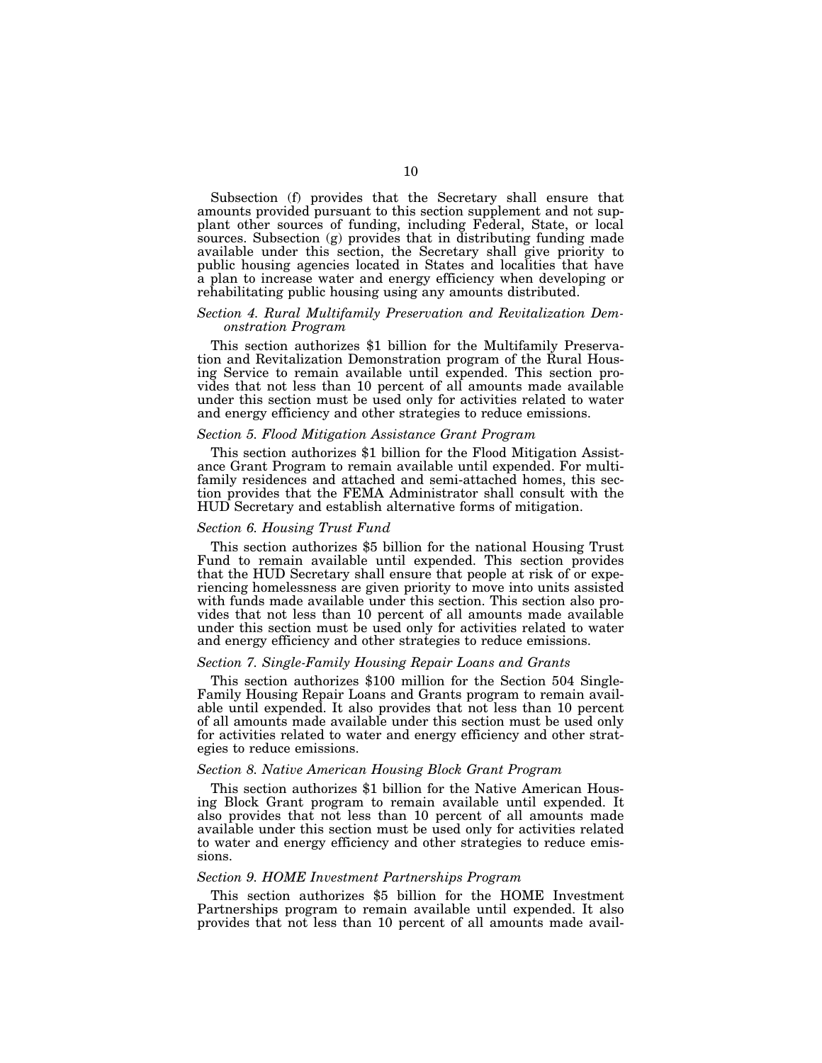Subsection (f) provides that the Secretary shall ensure that amounts provided pursuant to this section supplement and not supplant other sources of funding, including Federal, State, or local sources. Subsection (g) provides that in distributing funding made available under this section, the Secretary shall give priority to public housing agencies located in States and localities that have a plan to increase water and energy efficiency when developing or rehabilitating public housing using any amounts distributed.

#### *Section 4. Rural Multifamily Preservation and Revitalization Demonstration Program*

This section authorizes \$1 billion for the Multifamily Preservation and Revitalization Demonstration program of the Rural Housing Service to remain available until expended. This section provides that not less than 10 percent of all amounts made available under this section must be used only for activities related to water and energy efficiency and other strategies to reduce emissions.

## *Section 5. Flood Mitigation Assistance Grant Program*

This section authorizes \$1 billion for the Flood Mitigation Assistance Grant Program to remain available until expended. For multifamily residences and attached and semi-attached homes, this section provides that the FEMA Administrator shall consult with the HUD Secretary and establish alternative forms of mitigation.

#### *Section 6. Housing Trust Fund*

This section authorizes \$5 billion for the national Housing Trust Fund to remain available until expended. This section provides that the HUD Secretary shall ensure that people at risk of or experiencing homelessness are given priority to move into units assisted with funds made available under this section. This section also provides that not less than 10 percent of all amounts made available under this section must be used only for activities related to water and energy efficiency and other strategies to reduce emissions.

## *Section 7. Single-Family Housing Repair Loans and Grants*

This section authorizes \$100 million for the Section 504 Single-Family Housing Repair Loans and Grants program to remain available until expended. It also provides that not less than 10 percent of all amounts made available under this section must be used only for activities related to water and energy efficiency and other strategies to reduce emissions.

## *Section 8. Native American Housing Block Grant Program*

This section authorizes \$1 billion for the Native American Housing Block Grant program to remain available until expended. It also provides that not less than 10 percent of all amounts made available under this section must be used only for activities related to water and energy efficiency and other strategies to reduce emissions.

## *Section 9. HOME Investment Partnerships Program*

This section authorizes \$5 billion for the HOME Investment Partnerships program to remain available until expended. It also provides that not less than 10 percent of all amounts made avail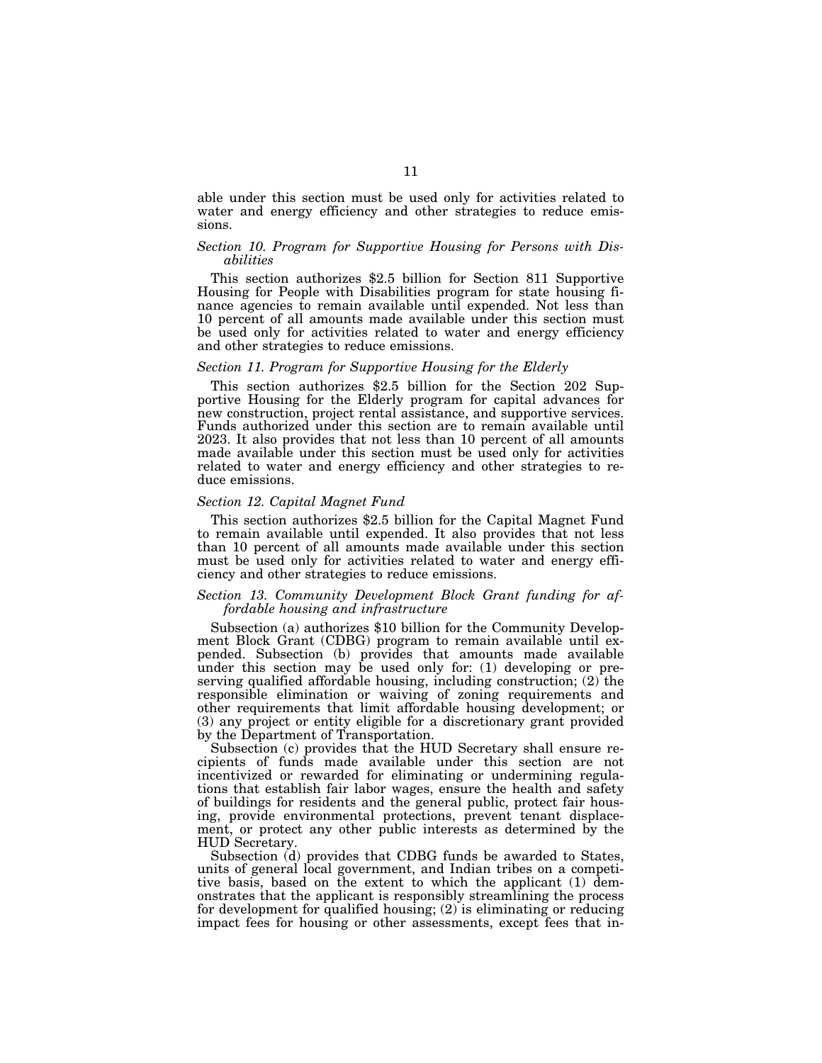able under this section must be used only for activities related to water and energy efficiency and other strategies to reduce emissions.

## *Section 10. Program for Supportive Housing for Persons with Disabilities*

This section authorizes \$2.5 billion for Section 811 Supportive Housing for People with Disabilities program for state housing finance agencies to remain available until expended. Not less than 10 percent of all amounts made available under this section must be used only for activities related to water and energy efficiency and other strategies to reduce emissions.

## *Section 11. Program for Supportive Housing for the Elderly*

This section authorizes \$2.5 billion for the Section 202 Supportive Housing for the Elderly program for capital advances for new construction, project rental assistance, and supportive services. Funds authorized under this section are to remain available until 2023. It also provides that not less than 10 percent of all amounts made available under this section must be used only for activities related to water and energy efficiency and other strategies to reduce emissions.

## *Section 12. Capital Magnet Fund*

This section authorizes \$2.5 billion for the Capital Magnet Fund to remain available until expended. It also provides that not less than 10 percent of all amounts made available under this section must be used only for activities related to water and energy efficiency and other strategies to reduce emissions.

## *Section 13. Community Development Block Grant funding for affordable housing and infrastructure*

Subsection (a) authorizes \$10 billion for the Community Development Block Grant (CDBG) program to remain available until expended. Subsection (b) provides that amounts made available under this section may be used only for: (1) developing or preserving qualified affordable housing, including construction;  $(2)$  the responsible elimination or waiving of zoning requirements and other requirements that limit affordable housing development; or (3) any project or entity eligible for a discretionary grant provided by the Department of Transportation.

Subsection (c) provides that the HUD Secretary shall ensure recipients of funds made available under this section are not incentivized or rewarded for eliminating or undermining regulations that establish fair labor wages, ensure the health and safety of buildings for residents and the general public, protect fair housing, provide environmental protections, prevent tenant displacement, or protect any other public interests as determined by the HUD Secretary.

Subsection (d) provides that CDBG funds be awarded to States, units of general local government, and Indian tribes on a competitive basis, based on the extent to which the applicant (1) demonstrates that the applicant is responsibly streamlining the process for development for qualified housing; (2) is eliminating or reducing impact fees for housing or other assessments, except fees that in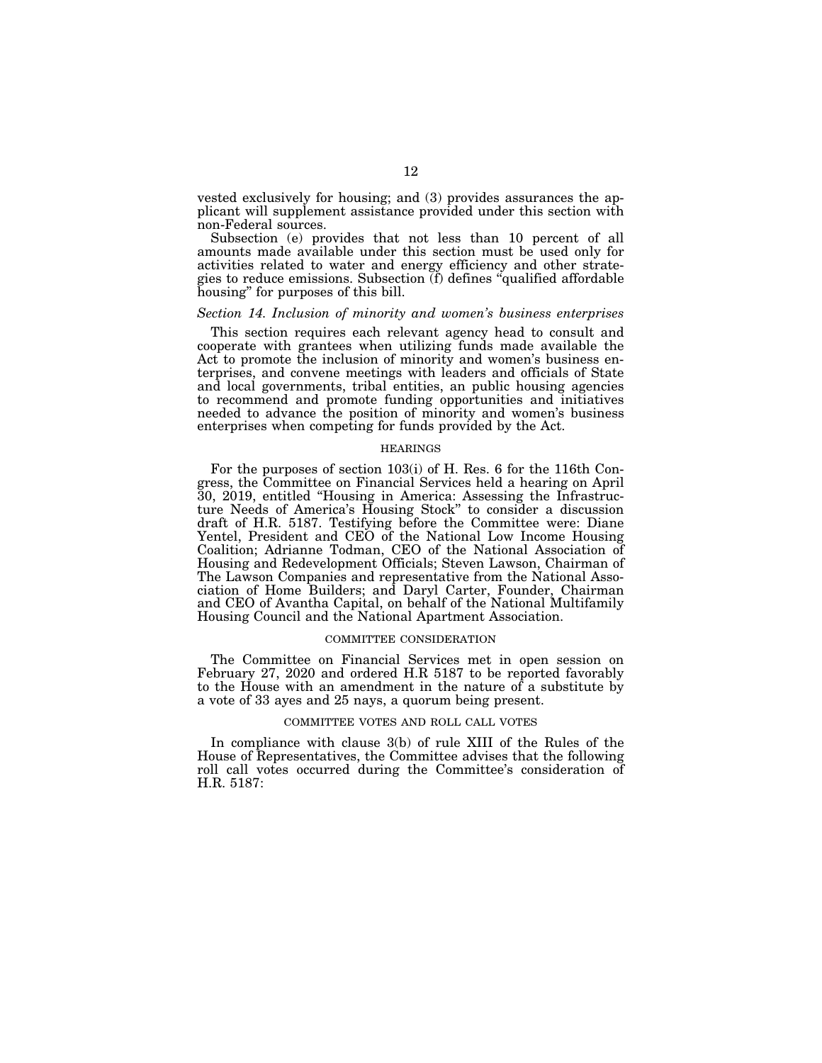vested exclusively for housing; and (3) provides assurances the applicant will supplement assistance provided under this section with non-Federal sources.

Subsection (e) provides that not less than 10 percent of all amounts made available under this section must be used only for activities related to water and energy efficiency and other strategies to reduce emissions. Subsection (f) defines ''qualified affordable housing'' for purposes of this bill.

#### *Section 14. Inclusion of minority and women's business enterprises*

This section requires each relevant agency head to consult and cooperate with grantees when utilizing funds made available the Act to promote the inclusion of minority and women's business enterprises, and convene meetings with leaders and officials of State and local governments, tribal entities, an public housing agencies to recommend and promote funding opportunities and initiatives needed to advance the position of minority and women's business enterprises when competing for funds provided by the Act.

#### **HEARINGS**

For the purposes of section 103(i) of H. Res. 6 for the 116th Congress, the Committee on Financial Services held a hearing on April 30, 2019, entitled ''Housing in America: Assessing the Infrastructure Needs of America's Housing Stock'' to consider a discussion draft of H.R. 5187. Testifying before the Committee were: Diane Yentel, President and CEO of the National Low Income Housing Coalition; Adrianne Todman, CEO of the National Association of Housing and Redevelopment Officials; Steven Lawson, Chairman of The Lawson Companies and representative from the National Association of Home Builders; and Daryl Carter, Founder, Chairman and CEO of Avantha Capital, on behalf of the National Multifamily Housing Council and the National Apartment Association.

#### COMMITTEE CONSIDERATION

The Committee on Financial Services met in open session on February 27, 2020 and ordered H.R 5187 to be reported favorably to the House with an amendment in the nature of a substitute by a vote of 33 ayes and 25 nays, a quorum being present.

#### COMMITTEE VOTES AND ROLL CALL VOTES

In compliance with clause 3(b) of rule XIII of the Rules of the House of Representatives, the Committee advises that the following roll call votes occurred during the Committee's consideration of H.R. 5187: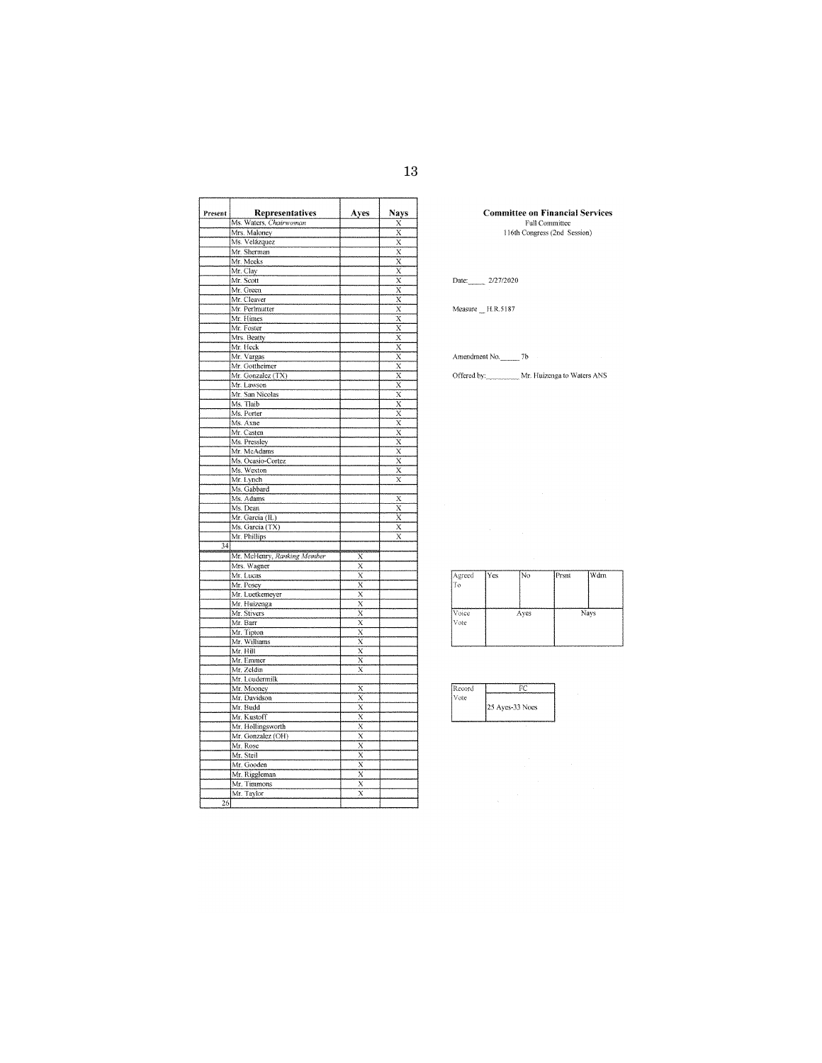| Present         | Representatives             | Ayes                                | Nays                                                                    |
|-----------------|-----------------------------|-------------------------------------|-------------------------------------------------------------------------|
|                 | Ms. Waters, Chairwoman      |                                     | X                                                                       |
|                 | Mrs. Maloney                |                                     | X                                                                       |
|                 | Ms. Velázquez               |                                     | X                                                                       |
|                 | Mr. Sherman                 |                                     | X                                                                       |
|                 | Mr. Meeks                   |                                     | X                                                                       |
|                 | Mr. Clay                    |                                     | $\overline{x}$                                                          |
|                 | Mr. Scott                   |                                     | $\overline{x}$                                                          |
|                 | Mr. Green                   |                                     | $\overline{x}$                                                          |
|                 | Mr. Cleaver                 |                                     | $\bar{x}$                                                               |
|                 | Mr. Perlmutter              |                                     | X                                                                       |
|                 | Mr. Himes                   |                                     | $\overline{x}$                                                          |
|                 | Mr. Foster                  |                                     | $\overline{x}$                                                          |
|                 | Mrs. Beatty                 |                                     | $\overline{x}$                                                          |
|                 | Mr. Heck                    |                                     | $\overline{x}$                                                          |
|                 | Mr. Vargas                  |                                     |                                                                         |
|                 | Mr. Gottheimer              |                                     | $\frac{\overline{x}}{\overline{x}}$                                     |
|                 | Mr. Gonzalez (TX)           |                                     |                                                                         |
|                 | Mr. Lawson                  |                                     | $\frac{X}{X}$                                                           |
|                 | Mr. San Nicolas             |                                     | $\overline{x}$                                                          |
|                 | Ms. Tlaib                   |                                     | $\overline{x}$                                                          |
|                 |                             |                                     |                                                                         |
|                 | Ms. Porter                  |                                     | $\frac{\overline{X}}{\overline{X}}$ $\frac{\overline{X}}{\overline{X}}$ |
|                 | Ms. Axne                    |                                     |                                                                         |
|                 | Mr. Casten                  |                                     |                                                                         |
|                 | Ms. Pressley                |                                     |                                                                         |
|                 | Mr. McAdams                 |                                     | $\overline{x}$                                                          |
|                 | Ms. Ocasio-Cortez           |                                     | X                                                                       |
|                 | Ms. Wexton                  |                                     | X                                                                       |
|                 | Mr. Lynch                   |                                     | X                                                                       |
|                 | Ms. Gabbard                 |                                     |                                                                         |
|                 | Ms. Adams                   |                                     | X                                                                       |
|                 | Ms. Dean                    |                                     | $\bar{\mathbf{x}}$                                                      |
|                 | Mr. Garcia (IL)             |                                     | X                                                                       |
|                 | Ms. Garcia (TX)             |                                     | X                                                                       |
|                 | Mr. Phillips                |                                     | X                                                                       |
| 34              |                             |                                     |                                                                         |
|                 | Mr. McHenry, Ranking Member | Х                                   |                                                                         |
|                 | Mrs. Wagner                 | $\overline{\mathbf{x}}$             |                                                                         |
|                 | Mr. Lucas                   | $\overline{x}$                      |                                                                         |
|                 | Mr. Posey                   | X                                   |                                                                         |
|                 |                             | $\overline{x}$                      |                                                                         |
|                 | Mr. Luetkemeyer             |                                     |                                                                         |
|                 | Mr. Huizenga                | $\overline{x}$                      |                                                                         |
|                 | Mr. Stivers                 | $\overline{\mathbf{x}}$             |                                                                         |
|                 | Mr. Barr                    | $\overline{\mathbf{x}}$             |                                                                         |
|                 | Mr. Tipton                  | $\overline{\mathbf{x}}$             |                                                                         |
|                 | Mr. Williams                | $\overline{\mathbf{x}}$             |                                                                         |
|                 | Mr. Hill                    | X                                   |                                                                         |
|                 | Mr. Emmer                   | $\overline{\mathbf{x}}$             |                                                                         |
|                 | Mr. Zeldin                  | X                                   |                                                                         |
|                 | Mr. Loudermilk              |                                     |                                                                         |
|                 | Mr. Mooney                  | X                                   |                                                                         |
|                 | Mr. Davidson                | X                                   |                                                                         |
|                 | Mr. Budd                    | $\overline{\mathbf{x}}$             |                                                                         |
|                 | Mr. Kustoff                 | $\overline{\mathrm{x}}$             |                                                                         |
|                 | Mr. Hollingsworth           | $\overline{x}$                      |                                                                         |
|                 | Mr. Gonzalez (OH)           | $\overline{X}$                      |                                                                         |
|                 |                             |                                     |                                                                         |
|                 | Mr. Rose                    | $\frac{\overline{X}}{\overline{X}}$ |                                                                         |
|                 | Mr. Steil                   |                                     |                                                                         |
|                 | Mr. Gooden                  | $\overline{x}$                      |                                                                         |
|                 | Mr. Riggleman               | $\overline{\mathbf{x}}$             |                                                                         |
|                 | Mr. Timmons                 | $\overline{\mathbf{x}}$             |                                                                         |
|                 |                             |                                     |                                                                         |
| $\overline{26}$ | Mr. Taylor                  | Χ                                   |                                                                         |

# **Committee on Financial Services**<br>Full Committee<br>116th Congress (2nd Session)

## Date: 2/27/2020

Measure  $_m$  H.R.5187

Amendment No. 7b

Offered by: \_\_\_\_\_\_\_\_\_\_ Mr. Huizenga to Waters ANS

| Agreed<br>IТo | l Yes | No   | Prsnt | Wdrn |
|---------------|-------|------|-------|------|
| Voice<br>Vote |       | Ayes |       | Nays |

| 25 Aves-33 Noes |
|-----------------|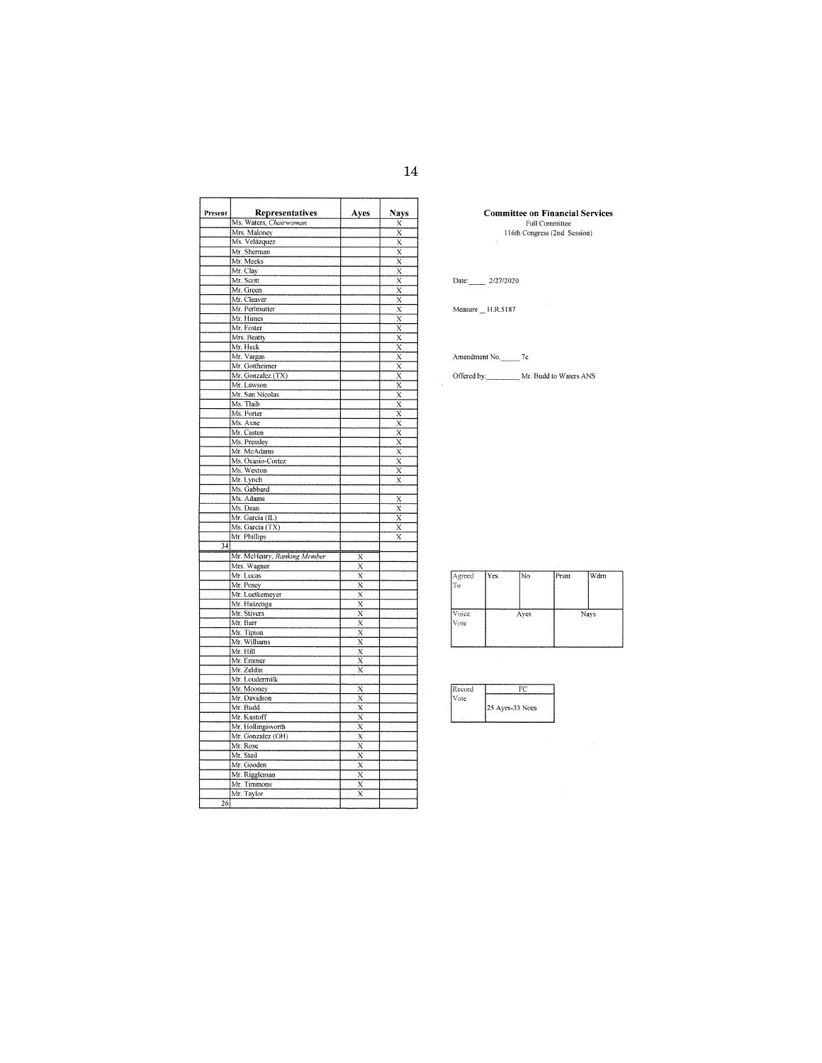| Present | Representatives             | Ayes                                | Nays                    |
|---------|-----------------------------|-------------------------------------|-------------------------|
|         | Ms. Waters, Chairwoman      |                                     | Х                       |
|         | Mrs. Maloney                |                                     | X                       |
|         | Ms. Velázquez               |                                     | X                       |
|         | Mr. Sherman                 |                                     | X                       |
|         | Mr. Meeks                   |                                     | $\overline{\mathsf{x}}$ |
|         | Mr. Clay                    |                                     | $\overline{\mathbf{x}}$ |
|         | Mr. Scott                   |                                     | $\overline{x}$          |
|         | Mr. Green                   |                                     | Ϋ                       |
|         | Mr. Cleaver                 |                                     | $\overline{\mathbf{x}}$ |
|         | Mr. Perlmutter              |                                     | $\overline{\mathbf{x}}$ |
|         | Mr. Himes                   |                                     | $\overline{\mathbf{x}}$ |
|         | Mr. Foster                  |                                     | $\bar{\mathbf{x}}$      |
|         | Mrs. Beatty                 |                                     | $\overline{\mathbf{x}}$ |
|         | Mr. Heck                    |                                     | $\bar{\mathrm{x}}$      |
|         | Mr. Vargas                  |                                     | $\bar{\mathrm{x}}$      |
|         | Mr. Gottheimer              |                                     | $\overline{x}$          |
|         | Mr. Gonzalez (TX)           |                                     | $\overline{x}$          |
|         | Mr. Lawson                  |                                     | $\overline{\mathbf{x}}$ |
|         | Mr. San Nicolas             |                                     | $\overline{x}$          |
|         | Ms. Tlaib                   |                                     | ÿ                       |
|         | Ms. Porter                  |                                     | $\overline{x}$          |
|         | Ms. Axne                    |                                     | $\bar{x}$               |
|         | Mr. Casten                  |                                     | $\overline{\mathbf{x}}$ |
|         | Ms. Pressley                |                                     | $\overline{\mathbf{x}}$ |
|         | Mr. McAdams                 |                                     | $\overline{\mathbf{x}}$ |
|         | Ms. Ocasio-Cortez           |                                     | X                       |
|         | Ms. Wexton                  |                                     | X                       |
|         | Mr. Lynch                   |                                     | $\overline{\mathbf{x}}$ |
|         | Ms. Gabbard                 |                                     |                         |
|         | Ms. Adams                   |                                     | X                       |
|         | Ms. Dean                    |                                     | $\overline{\mathbf{x}}$ |
|         | Mr. Garcia (IL)             |                                     | $\bar{\mathrm{x}}$      |
|         | Ms. Garcia (TX)             |                                     | X                       |
|         | Mr. Phillips                |                                     | X                       |
| 34      |                             |                                     |                         |
|         | Mr. McHenry, Ranking Member | X                                   |                         |
|         | Mrs. Wagner                 | $\overline{\mathbf{x}}$             |                         |
|         | Mr. Lucas                   | $\bar{x}$                           |                         |
|         | Mr. Posey                   | $\overline{\mathbf{x}}$             |                         |
|         | Mr. Luetkemeyer             | $\overline{x}$                      |                         |
|         | Mr. Huizenga                | Χ                                   |                         |
|         | Mr. Stivers                 | $\overline{x}$                      |                         |
|         | Mr. Barr                    | X                                   |                         |
|         | Mr. Tipton                  | X                                   |                         |
|         | Mr. Williams                | $\overline{x}$                      |                         |
|         | Mr. Hill                    | $\overline{\mathbf{x}}$             |                         |
|         | Mr. Emmer                   | X                                   |                         |
|         | Mr. Zeldin                  | X                                   |                         |
|         | Mr. Loudermilk              |                                     |                         |
|         | Mr. Mooney                  | X                                   |                         |
|         | Mr. Davidson                | $\overline{x}$                      |                         |
|         | Mr. Budd                    | $\overline{\mathrm{x}}$             |                         |
|         | Mr. Kustoff                 | $\overline{x}$                      |                         |
|         | Mr. Hollingsworth           | $\overline{\mathbf{x}}$             |                         |
|         | Mr. Gonzalez (OH)           | $\overline{\mathbf{x}}$             |                         |
|         | Mr. Rose                    |                                     |                         |
|         | Mr. Steil                   | $\frac{\overline{x}}{\overline{x}}$ |                         |
|         | Mr. Gooden                  | $\overline{x}$                      |                         |
|         | Mr. Riggleman               | $\overline{\mathbf{x}}$             |                         |
|         | Mr. Timmons                 | $\overline{\mathbf{x}}$             |                         |
|         | Mr. Taylor                  | $\rm \bar{x}$                       |                         |
| 26      |                             |                                     |                         |

**Committee on Financial Services**<br>Full Committee<br>116th Congress (2nd Session)

Date: 2/27/2020

 $Measure$ <sub>\_</sub>H.R.5187

Amendment No. 7c

Offered by: Mr. Budd to Waters ANS

| Agreed<br>To  | l Yes | lNo. | Prsnt | Wdrn |
|---------------|-------|------|-------|------|
| Voice<br>Vote |       | Ayes |       | Nays |

| ≷ecord |                 |
|--------|-----------------|
| Vote   |                 |
|        | 25 Ayes-33 Noes |
|        |                 |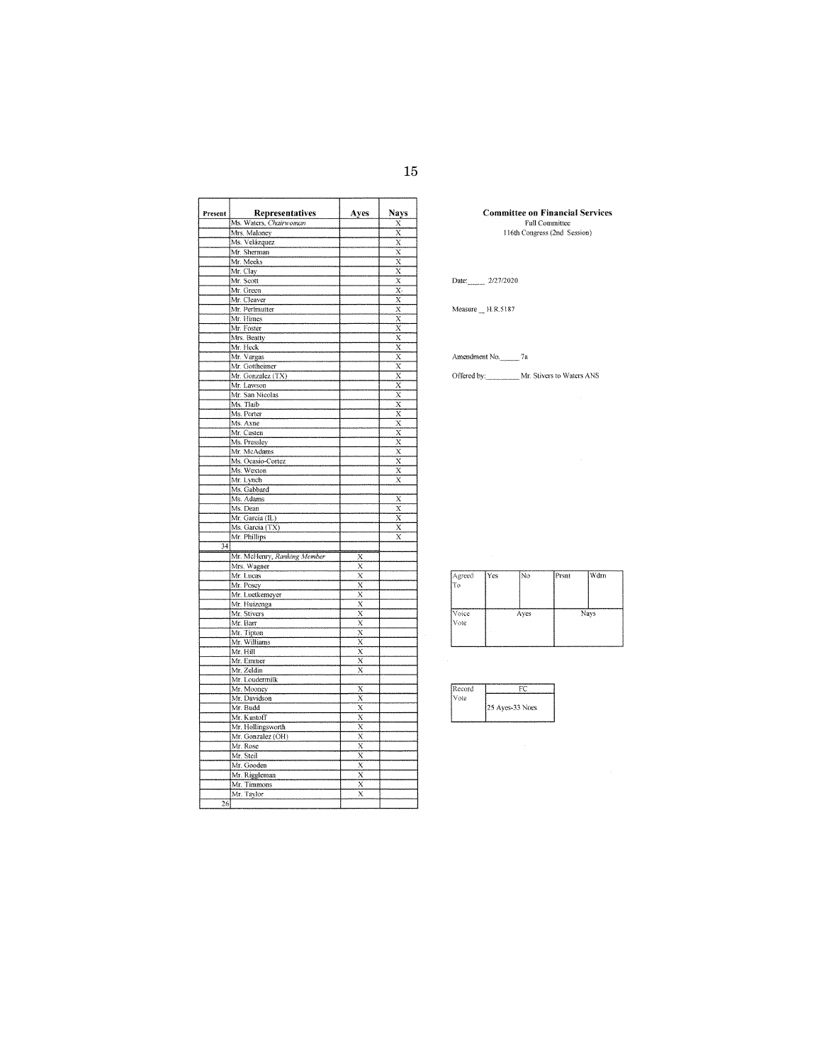Ŧ

| Present         | Representatives             | Ayes                    | Nays                                |
|-----------------|-----------------------------|-------------------------|-------------------------------------|
|                 | Ms. Waters, Chairwoman      |                         | Х                                   |
|                 | Mrs. Maloney                |                         | Х                                   |
|                 | Ms. Velázquez               |                         | $\bar{\mathrm{x}}$                  |
|                 | Mr. Sherman                 |                         | X                                   |
|                 | Mr. Meeks                   |                         | $\overline{\mathbf{x}}$             |
|                 | Mr. Clay                    |                         | $\overline{\mathbf{x}}$             |
|                 | Mr. Scott                   |                         | $\overline{\mathbf{x}}$             |
|                 | Mr. Green                   |                         | X.                                  |
|                 | Mr. Cleaver                 |                         | $\overline{x}$                      |
|                 | Mr. Perimutter              |                         | X                                   |
|                 | Mr. Himes                   |                         |                                     |
|                 | Mr. Foster                  |                         | $\frac{X}{X}$ $\frac{X}{X}$         |
|                 | Mrs. Beatty                 |                         |                                     |
|                 | Mr. Heck                    |                         |                                     |
|                 | Mr. Vargas                  |                         | $\overline{x}$                      |
|                 | Mr. Gottheimer              |                         | x                                   |
|                 | Mr. Gonzalez (TX)           |                         |                                     |
|                 | Mr. Lawson                  |                         | $\frac{\overline{X}}{\overline{X}}$ |
|                 |                             |                         |                                     |
|                 | Mr. San Nicolas             |                         |                                     |
|                 | Ms. Tlaib                   |                         | $\overline{x}$                      |
|                 | Ms. Porter                  |                         | $\bar{\mathbf{x}}$                  |
|                 | Ms. Axne                    |                         | $\frac{X}{X}$                       |
|                 | Mr. Casten                  |                         |                                     |
|                 | Ms. Pressley                |                         | $\overline{x}$                      |
|                 | Mr. McAdams                 |                         | $\overline{\mathbf{x}}$             |
|                 | Ms. Ocasio-Cortez           |                         | $\overline{\mathrm{x}}$             |
|                 | Ms. Wexton                  |                         | X                                   |
|                 | Mr. Lynch                   |                         | $\overline{\mathbf{x}}$             |
|                 | Ms. Gabbard                 |                         |                                     |
|                 | Ms. Adams                   |                         | X                                   |
|                 | Ms. Dean                    |                         | $\overline{\mathbf{x}}$             |
|                 | Mr. Garcia (IL)             |                         | X                                   |
|                 | Ms. Garcia (TX)             |                         | $\bar{\mathbf{x}}$                  |
|                 | Mr. Phillips                |                         | $\overline{\text{x}}$               |
| $\overline{34}$ |                             |                         |                                     |
|                 |                             |                         |                                     |
|                 | Mr. McHenry, Ranking Member | X                       |                                     |
|                 | Mrs. Wagner                 | $\overline{\mathrm{x}}$ |                                     |
|                 | Mr. Lucas                   | $\overline{\mathrm{x}}$ |                                     |
|                 | Mr. Posey                   | $\overline{\mathrm{x}}$ |                                     |
|                 | Mr. Luetkemeyer             | $\overline{x}$          |                                     |
|                 | Mr. Huizenga                | $\overline{x}$          |                                     |
|                 | Mr. Stivers                 | $\overline{\mathbf{x}}$ |                                     |
|                 | Mr. Barr                    | X                       |                                     |
|                 | Mr. Tipton                  | $\overline{x}$          |                                     |
|                 | Mr. Williams                | $\overline{\mathbf{x}}$ |                                     |
|                 | Mr. Hill                    | $\overline{\mathbf{x}}$ |                                     |
|                 | Mr. Emmer                   | $\overline{\mathbf{x}}$ |                                     |
|                 | Mr. Zeldin                  | $\bar{\mathbf{x}}$      |                                     |
|                 | Mr. Loudermilk              |                         |                                     |
|                 | Mr. Mooney                  | X                       |                                     |
|                 | Mr. Davidson                | $\overline{x}$          |                                     |
|                 | Mr. Budd                    | $\overline{\mathbf{x}}$ |                                     |
|                 | Mr. Kustoff                 | $\overline{\mathbf{x}}$ |                                     |
|                 |                             | $\overline{\mathbf{x}}$ |                                     |
|                 | Mr. Hollingsworth           |                         |                                     |
|                 | Mr. Gonzalez (OH)           | $\bar{\mathrm{x}}$      |                                     |
|                 | Mr. Rose                    | $\overline{\mathbf{x}}$ |                                     |
|                 | Mr. Steil                   | $\overline{x}$          |                                     |
|                 | Mr. Gooden                  | $\overline{x}$          |                                     |
|                 | Mr. Riggleman               | $\overline{\mathrm{x}}$ |                                     |
|                 | Mr. Timmons                 | $\overline{\mathbf{x}}$ |                                     |
|                 | Mr. Taylor                  | $\overline{\mathrm{x}}$ |                                     |
| $\overline{26}$ |                             |                         |                                     |
|                 |                             |                         |                                     |

 $\overline{r}$ 

Ŧ

**Committee on Financial Services**<br>Full Committee<br>116th Congress (2nd Session)

Date: 2/27/2020

Measure  $_H$  H.R.5187

Amendment No. 7a

Offered by: Mr. Stivers to Waters ANS

| Agreed<br>İТo | IYes | INo  | Prsnt | ∣Wdrn |
|---------------|------|------|-------|-------|
| Voice<br>Vote |      | Ayes |       | Nays  |

| Record |                  |
|--------|------------------|
| Vote   |                  |
|        | [25 Ayes-33 Noes |
|        |                  |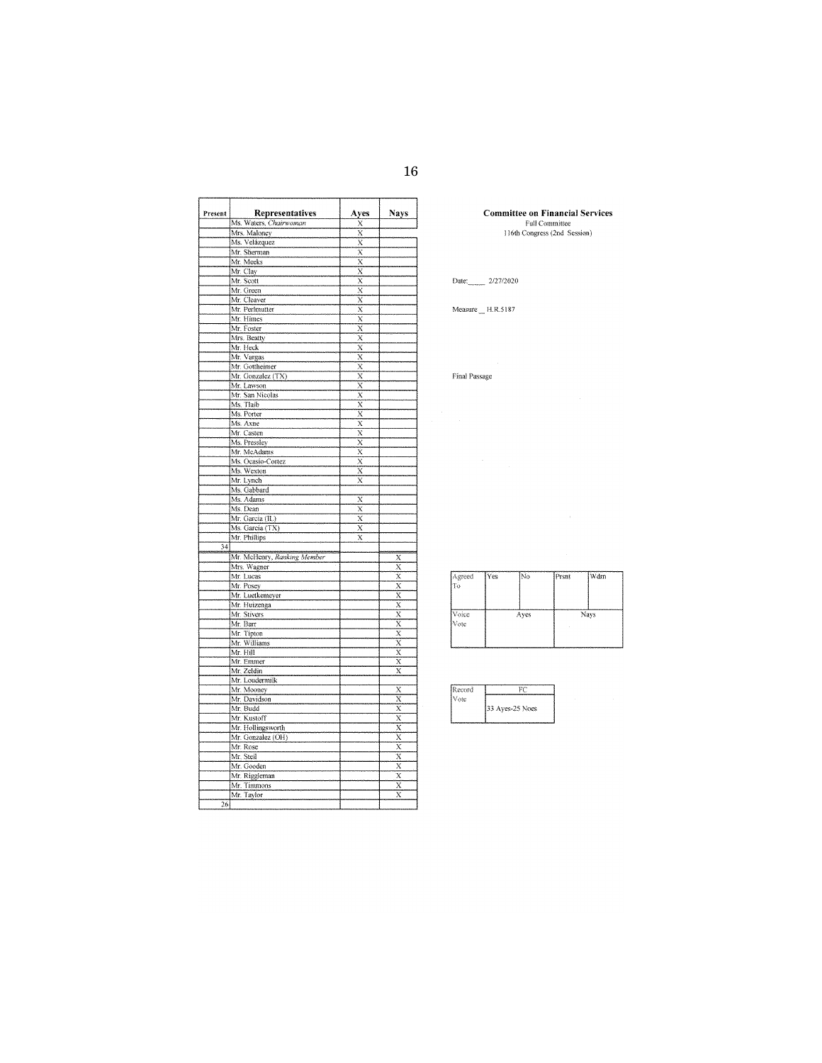Ŧ

| Present | Representatives             | Ayes                    | <b>Nays</b>                         |
|---------|-----------------------------|-------------------------|-------------------------------------|
|         | Ms. Waters, Chairwoman      | х                       |                                     |
|         | Mrs. Maloney                | X                       |                                     |
|         | Ms. Velázquez               | $\bar{\text{x}}$        |                                     |
|         | Mr. Sherman                 | $\overline{\mathbf{x}}$ |                                     |
|         | Mr. Meeks                   | X                       |                                     |
|         | Mr. Clay                    | $\overline{\mathbf{x}}$ |                                     |
|         | Mr. Scott                   | $\overline{\mathbf{x}}$ |                                     |
|         | Mr. Green                   | X                       |                                     |
|         | Mr. Cleaver                 | $\overline{\mathrm{x}}$ |                                     |
|         | Mr. Perlmutter              | $\overline{x}$          |                                     |
|         | Mr. Himes                   | $\bar{\mathrm{x}}$      |                                     |
|         | Mr. Foster                  |                         |                                     |
|         | Mrs. Beatty                 | $\frac{X}{X}$           |                                     |
|         | Mr. Heck                    | $\overline{\mathbf{x}}$ |                                     |
|         | Mr. Vargas                  | X                       |                                     |
|         | Mr. Gottheimer              | X                       |                                     |
|         | Mr. Gonzalez (TX)           | $\overline{x}$          |                                     |
|         | Mr. Lawson                  | $\bar{\mathbf{x}}$      |                                     |
|         |                             | X                       |                                     |
|         | Mr. San Nicolas             |                         |                                     |
|         | Ms. Tlaib                   | $\bar{\mathrm{x}}$      |                                     |
|         | Ms. Porter                  | $\bar{\mathbf{x}}$      |                                     |
|         | Ms. Axne                    | $\overline{\mathbf{x}}$ |                                     |
|         | Mr. Casten                  | $\overline{\mathbf{x}}$ |                                     |
|         | Ms. Pressley                | $\overline{\mathbf{x}}$ |                                     |
|         | Mr. McAdams                 | $\bar{x}$               |                                     |
|         | Ms. Ocasio-Cortez           | X                       |                                     |
|         | Ms. Wexton                  | $\overline{\text{x}}$   |                                     |
|         | Mr. Lynch                   | $\bar{\mathbf{x}}$      |                                     |
|         | Ms. Gabbard                 |                         |                                     |
|         | Ms. Adams                   | X                       |                                     |
|         | Ms. Dean                    | $\overline{\mathbf{x}}$ |                                     |
|         | Mr. Garcia (IL)             | X                       |                                     |
|         | Ms. Garcia (TX)             | X                       |                                     |
|         | Mr. Phillips                | X                       |                                     |
| 34      |                             |                         |                                     |
|         | Mr. McHenry, Ranking Member |                         |                                     |
|         | Mrs. Wagner                 |                         | $\overline{\mathbf{x}}$             |
|         | Mr. Lucas                   |                         | $\overline{x}$                      |
|         | Mr. Posey                   |                         |                                     |
|         | Mr. Luetkemeyer             |                         | $\frac{\overline{x}}{\overline{x}}$ |
|         | Mr. Huizenga                |                         | $\overline{\mathbf{x}}$             |
|         | Mr. Stivers                 |                         |                                     |
|         | Mr. Barr                    |                         | $\frac{\overline{X}}{\overline{X}}$ |
|         |                             |                         |                                     |
|         | Mr. Tipton                  |                         | $\frac{\overline{X}}{X}$            |
|         | Mr. Williams                |                         | $\frac{1}{x}$                       |
|         | Mr. Hill                    |                         |                                     |
|         | Mr. Emmer                   |                         | $\overline{\mathrm{x}}$             |
|         | Mr. Zeldin                  |                         | $\overline{\mathbf{x}}$             |
|         | Mr. Loudermilk              |                         |                                     |
|         | Mr. Mooney                  |                         | $\frac{\overline{x}}{\overline{x}}$ |
|         | Mr. Davidson                |                         |                                     |
|         | Mr. Budd                    |                         | $\overline{x}$                      |
|         | Mr. Kustoff                 |                         | $\overline{\mathrm{x}}$             |
|         | Mr. Hollingsworth           |                         | $\overline{x}$                      |
|         | Mr. Gonzalez (OH)           |                         |                                     |
|         | Mr. Rose                    |                         |                                     |
|         | Mr. Steil                   |                         |                                     |
|         | Mr. Gooden                  |                         | $\frac{X}{X} \times \frac{X}{X}$    |
|         | Mr. Riggleman               |                         |                                     |
|         | Mr. Timmons                 |                         | Χ                                   |
|         | Mr. Taylor                  |                         | $\overline{x}$                      |
| 26      |                             |                         |                                     |
|         |                             |                         |                                     |

 $\overline{f}$ 

٦

# **Committee on Financial Services**<br>Full Committee<br>116th Congress (2nd Session)

Date: 2/27/2020

## $Measure\_ H.R.5187$

 $\operatorname{Final}$  Passage

 $\frac{1}{2} \sum_{i=1}^n \frac{1}{2} \sum_{j=1}^n \frac{1}{2} \sum_{j=1}^n \frac{1}{2} \sum_{j=1}^n \frac{1}{2} \sum_{j=1}^n \frac{1}{2} \sum_{j=1}^n \frac{1}{2} \sum_{j=1}^n \frac{1}{2} \sum_{j=1}^n \frac{1}{2} \sum_{j=1}^n \frac{1}{2} \sum_{j=1}^n \frac{1}{2} \sum_{j=1}^n \frac{1}{2} \sum_{j=1}^n \frac{1}{2} \sum_{j=1}^n \frac{1}{2} \sum_{j=$ 

| Agreed<br>Ŧо   | Yes | [No  | Prsnt | Wdrn |
|----------------|-----|------|-------|------|
| Voice<br> Vote |     | Ayes |       | Navs |
|                |     |      |       |      |

| Record |                 |
|--------|-----------------|
| Vote   |                 |
|        | 33 Aves-25 Noes |
|        |                 |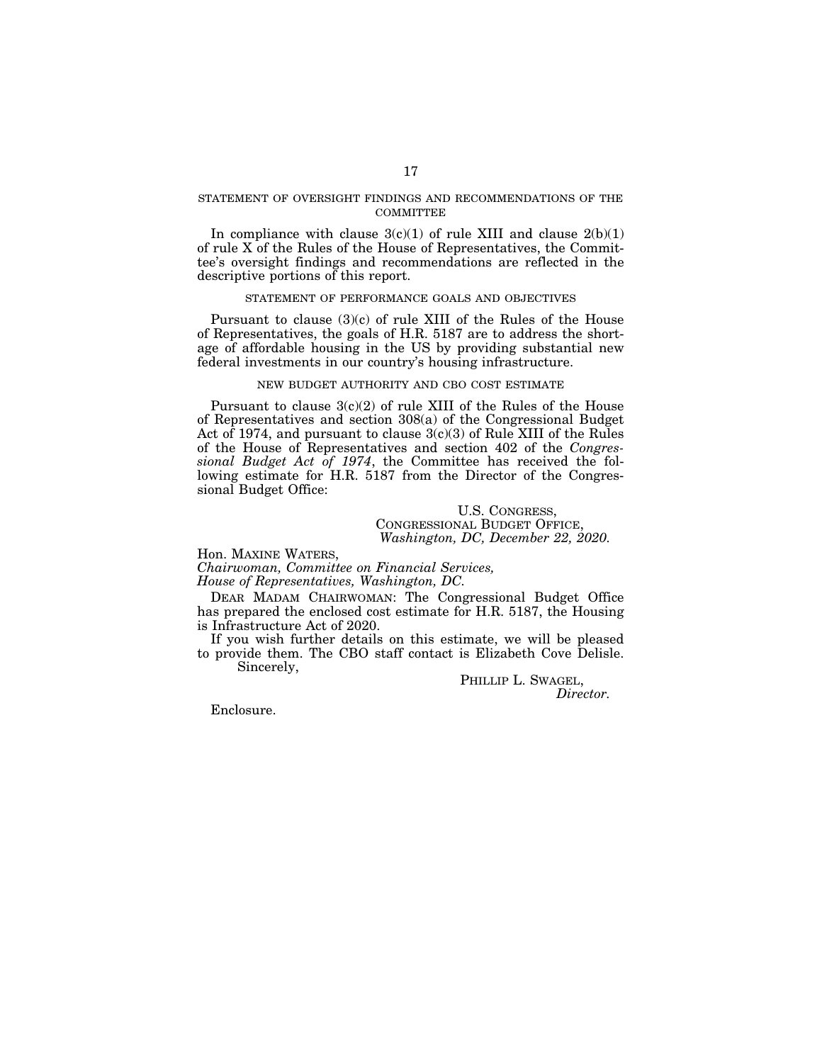## STATEMENT OF OVERSIGHT FINDINGS AND RECOMMENDATIONS OF THE **COMMITTEE**

In compliance with clause  $3(c)(1)$  of rule XIII and clause  $2(b)(1)$ of rule X of the Rules of the House of Representatives, the Committee's oversight findings and recommendations are reflected in the descriptive portions of this report.

## STATEMENT OF PERFORMANCE GOALS AND OBJECTIVES

Pursuant to clause (3)(c) of rule XIII of the Rules of the House of Representatives, the goals of H.R. 5187 are to address the shortage of affordable housing in the US by providing substantial new federal investments in our country's housing infrastructure.

## NEW BUDGET AUTHORITY AND CBO COST ESTIMATE

Pursuant to clause 3(c)(2) of rule XIII of the Rules of the House of Representatives and section 308(a) of the Congressional Budget Act of 1974, and pursuant to clause 3(c)(3) of Rule XIII of the Rules of the House of Representatives and section 402 of the *Congressional Budget Act of 1974*, the Committee has received the following estimate for H.R. 5187 from the Director of the Congressional Budget Office:

# U.S. CONGRESS, CONGRESSIONAL BUDGET OFFICE, *Washington, DC, December 22, 2020.*

Hon. MAXINE WATERS, *Chairwoman, Committee on Financial Services, House of Representatives, Washington, DC.* 

DEAR MADAM CHAIRWOMAN: The Congressional Budget Office has prepared the enclosed cost estimate for H.R. 5187, the Housing is Infrastructure Act of 2020.

If you wish further details on this estimate, we will be pleased to provide them. The CBO staff contact is Elizabeth Cove Delisle. Sincerely,

> PHILLIP L. SWAGEL, *Director.*

Enclosure.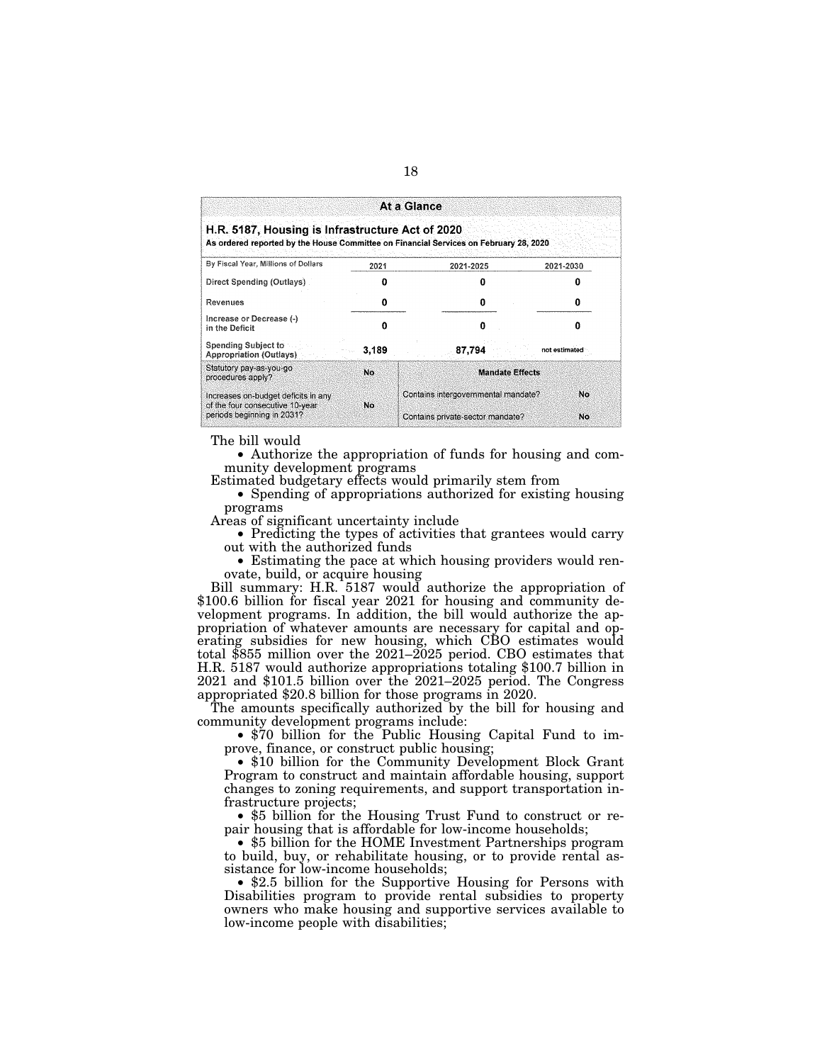| At a Glance                                                                                                                               |           |                                            |               |  |  |  |  |  |  |  |
|-------------------------------------------------------------------------------------------------------------------------------------------|-----------|--------------------------------------------|---------------|--|--|--|--|--|--|--|
| H.R. 5187, Housing is Infrastructure Act of 2020<br>As ordered reported by the House Committee on Financial Services on February 28, 2020 |           |                                            |               |  |  |  |  |  |  |  |
| By Fiscal Year, Millions of Dollars                                                                                                       | 2021      | 2021-2025                                  | 2021-2030     |  |  |  |  |  |  |  |
| Direct Spending (Outlays).                                                                                                                |           |                                            |               |  |  |  |  |  |  |  |
| Revenues                                                                                                                                  | Ω         | o                                          |               |  |  |  |  |  |  |  |
| Increase or Decrease (-)<br>in the Deficit                                                                                                |           | ก                                          |               |  |  |  |  |  |  |  |
| Spending Subject to<br>Appropriation (Outlays)                                                                                            | 3.189     | 87,794                                     | not estimated |  |  |  |  |  |  |  |
| Statutory pay-as-you-go<br>procedures apply?                                                                                              | No        | <b>Mandate Effects</b>                     |               |  |  |  |  |  |  |  |
| Increases on-budget deficits in any<br>of the four consecutive 10-year                                                                    | <b>No</b> | Contains intergovernmental mandate?<br>No. |               |  |  |  |  |  |  |  |
| periods beginning in 2031?                                                                                                                |           | Contains private-sector mandate?           | No            |  |  |  |  |  |  |  |

The bill would

• Authorize the appropriation of funds for housing and community development programs

Estimated budgetary effects would primarily stem from

• Spending of appropriations authorized for existing housing programs

Areas of significant uncertainty include

• Predicting the types of activities that grantees would carry out with the authorized funds

• Estimating the pace at which housing providers would renovate, build, or acquire housing

Bill summary: H.R. 5187 would authorize the appropriation of \$100.6 billion for fiscal year 2021 for housing and community development programs. In addition, the bill would authorize the appropriation of whatever amounts are necessary for capital and operating subsidies for new housing, which CBO estimates would total \$855 million over the 2021–2025 period. CBO estimates that H.R. 5187 would authorize appropriations totaling \$100.7 billion in 2021 and \$101.5 billion over the 2021–2025 period. The Congress appropriated \$20.8 billion for those programs in 2020.

The amounts specifically authorized by the bill for housing and community development programs include:

• \$70 billion for the Public Housing Capital Fund to improve, finance, or construct public housing;

• \$10 billion for the Community Development Block Grant Program to construct and maintain affordable housing, support changes to zoning requirements, and support transportation infrastructure projects;

• \$5 billion for the Housing Trust Fund to construct or repair housing that is affordable for low-income households;

• \$5 billion for the HOME Investment Partnerships program to build, buy, or rehabilitate housing, or to provide rental assistance for low-income households;

• \$2.5 billion for the Supportive Housing for Persons with Disabilities program to provide rental subsidies to property owners who make housing and supportive services available to low-income people with disabilities;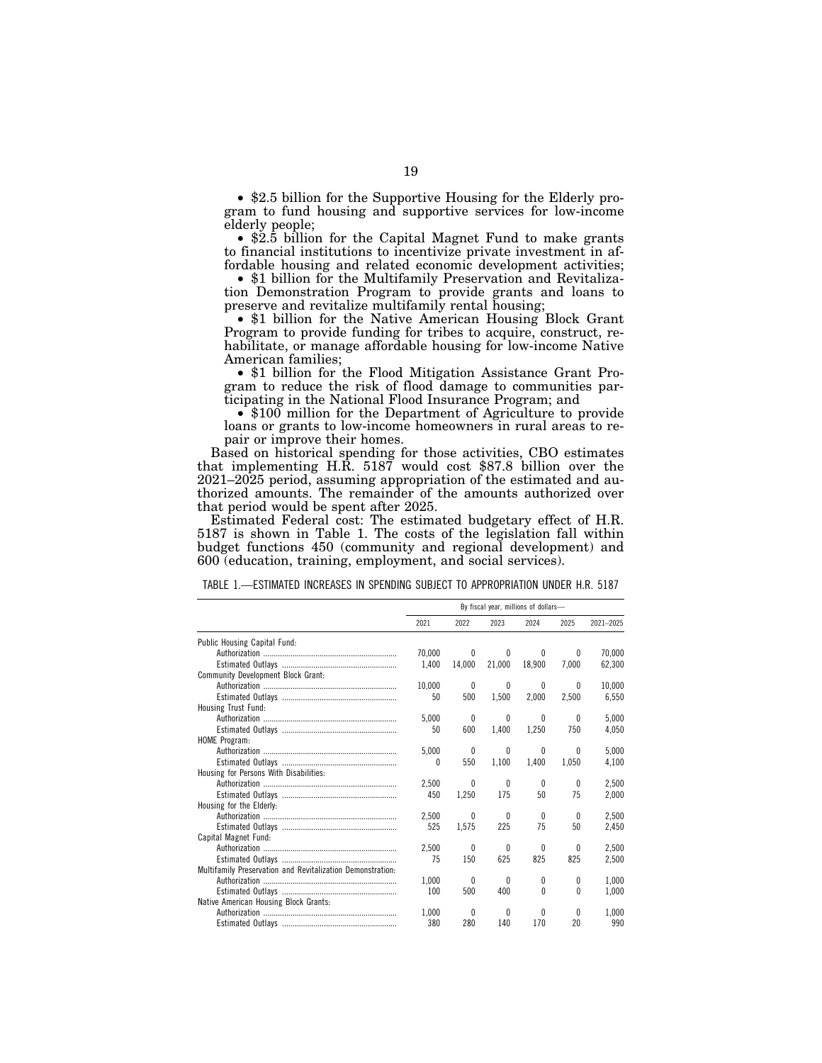• \$2.5 billion for the Supportive Housing for the Elderly program to fund housing and supportive services for low-income elderly people;

• \$2.5 billion for the Capital Magnet Fund to make grants to financial institutions to incentivize private investment in affordable housing and related economic development activities;

• \$1 billion for the Multifamily Preservation and Revitalization Demonstration Program to provide grants and loans to preserve and revitalize multifamily rental housing;

• \$1 billion for the Native American Housing Block Grant Program to provide funding for tribes to acquire, construct, rehabilitate, or manage affordable housing for low-income Native American families;

• \$1 billion for the Flood Mitigation Assistance Grant Program to reduce the risk of flood damage to communities participating in the National Flood Insurance Program; and

• \$100 million for the Department of Agriculture to provide loans or grants to low-income homeowners in rural areas to repair or improve their homes.

Based on historical spending for those activities, CBO estimates that implementing H.R. 5187 would cost \$87.8 billion over the 2021–2025 period, assuming appropriation of the estimated and authorized amounts. The remainder of the amounts authorized over that period would be spent after 2025.

Estimated Federal cost: The estimated budgetary effect of H.R. 5187 is shown in Table 1. The costs of the legislation fall within budget functions 450 (community and regional development) and 600 (education, training, employment, and social services).

|  |  |  |  |  |  |  | TABLE 1.—ESTIMATED INCREASES IN SPENDING SUBJECT TO APPROPRIATION UNDER H.R. 5187 |  |
|--|--|--|--|--|--|--|-----------------------------------------------------------------------------------|--|
|--|--|--|--|--|--|--|-----------------------------------------------------------------------------------|--|

|                                                            | By fiscal year, millions of dollars- |              |              |          |          |           |
|------------------------------------------------------------|--------------------------------------|--------------|--------------|----------|----------|-----------|
|                                                            | 2021                                 | 2022         | 2023         | 2024     | 2025     | 2021-2025 |
| Public Housing Capital Fund:                               |                                      |              |              |          |          |           |
|                                                            | 70.000                               | $\theta$     | 0            | 0        | 0        | 70.000    |
|                                                            | 1.400                                | 14.000       | 21.000       | 18.900   | 7.000    | 62.300    |
| Community Development Block Grant:                         |                                      |              |              |          |          |           |
|                                                            | 10.000                               | $\mathbf{0}$ | $\mathbf{0}$ | 0        | 0        | 10.000    |
|                                                            | 50                                   | 500          | 1.500        | 2,000    | 2,500    | 6,550     |
| Housing Trust Fund:                                        |                                      |              |              |          |          |           |
|                                                            | 5.000                                | $\theta$     | 0            | 0        | 0        | 5.000     |
|                                                            | 50                                   | 600          | 1,400        | 1,250    | 750      | 4,050     |
| <b>HOME Program:</b>                                       |                                      |              |              |          |          |           |
|                                                            | 5.000                                | 0            | $\theta$     | 0        | 0        | 5.000     |
|                                                            | 0                                    | 550          | 1,100        | 1,400    | 1,050    | 4,100     |
| Housing for Persons With Disabilities:                     |                                      |              |              |          |          |           |
|                                                            | 2.500                                | 0            | 0            | $\bf{0}$ | 0        | 2.500     |
|                                                            | 450                                  | 1.250        | 175          | 50       | 75       | 2.000     |
| Housing for the Elderly:                                   |                                      |              |              |          |          |           |
|                                                            | 2.500                                | 0            | $\theta$     | 0        | 0        | 2.500     |
|                                                            | 525                                  | 1,575        | 225          | 75       | 50       | 2,450     |
| Capital Magnet Fund:                                       |                                      |              |              |          |          |           |
|                                                            | 2.500                                | 0            | 0            | 0        | 0        | 2.500     |
|                                                            | 75                                   | 150          | 625          | 825      | 825      | 2,500     |
| Multifamily Preservation and Revitalization Demonstration: |                                      |              |              |          |          |           |
|                                                            | 1.000                                | 0            | 0            | 0        | $^{0}$   | 1.000     |
|                                                            | 100                                  | 500          | 400          | 0        | $\theta$ | 1.000     |
| Native American Housing Block Grants:                      |                                      |              |              |          |          |           |
|                                                            | 1.000                                | 0            | 0            | 0        | 0        | 1.000     |
|                                                            | 380                                  | 280          | 140          | 170      | 20       | 990       |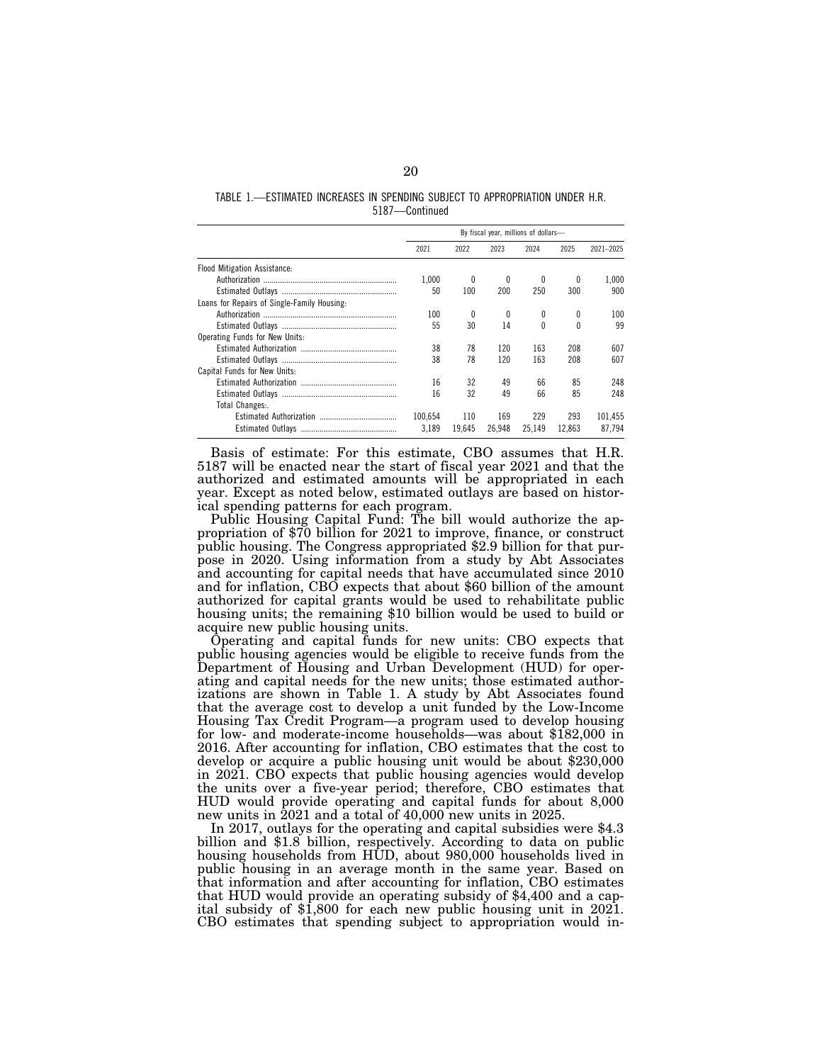#### TABLE 1.—ESTIMATED INCREASES IN SPENDING SUBJECT TO APPROPRIATION UNDER H.R. 5187—Continued

|                                             | By fiscal year, millions of dollars- |        |        |          |          |           |
|---------------------------------------------|--------------------------------------|--------|--------|----------|----------|-----------|
|                                             | 2021                                 | 2022   | 2023   | 2024     | 2025     | 2021-2025 |
| Flood Mitigation Assistance:                |                                      |        |        |          |          |           |
|                                             | 1.000                                | 0      | 0      | 0        | $\theta$ | 1.000     |
|                                             | 50                                   | 100    | 200    | 250      | 300      | 900       |
| Loans for Repairs of Single-Family Housing: |                                      |        |        |          |          |           |
|                                             | 100                                  | 0      | 0      | 0        | 0        | 100       |
|                                             | 55                                   | 30     | 14     | $\theta$ | 0        | 99        |
| Operating Funds for New Units:              |                                      |        |        |          |          |           |
|                                             | 38                                   | 78     | 120    | 163      | 208      | 607       |
|                                             | 38                                   | 78     | 120    | 163      | 208      | 607       |
| Capital Funds for New Units:                |                                      |        |        |          |          |           |
|                                             | 16                                   | 32     | 49     | 66       | 85       | 248       |
|                                             | 16                                   | 32     | 49     | 66       | 85       | 248       |
| Total Changes:.                             |                                      |        |        |          |          |           |
|                                             | 100.654                              | 110    | 169    | 229      | 293      | 101.455   |
|                                             | 3.189                                | 19.645 | 26.948 | 25.149   | 12.863   | 87.794    |

Basis of estimate: For this estimate, CBO assumes that H.R. 5187 will be enacted near the start of fiscal year 2021 and that the authorized and estimated amounts will be appropriated in each year. Except as noted below, estimated outlays are based on historical spending patterns for each program.

Public Housing Capital Fund: The bill would authorize the appropriation of \$70 billion for 2021 to improve, finance, or construct public housing. The Congress appropriated \$2.9 billion for that purpose in 2020. Using information from a study by Abt Associates and accounting for capital needs that have accumulated since 2010 and for inflation, CBO expects that about \$60 billion of the amount authorized for capital grants would be used to rehabilitate public housing units; the remaining \$10 billion would be used to build or acquire new public housing units.

Operating and capital funds for new units: CBO expects that public housing agencies would be eligible to receive funds from the Department of Housing and Urban Development (HUD) for operating and capital needs for the new units; those estimated authorizations are shown in Table 1. A study by Abt Associates found that the average cost to develop a unit funded by the Low-Income Housing Tax Credit Program—a program used to develop housing for low- and moderate-income households—was about \$182,000 in 2016. After accounting for inflation, CBO estimates that the cost to develop or acquire a public housing unit would be about \$230,000 in 2021. CBO expects that public housing agencies would develop the units over a five-year period; therefore, CBO estimates that HUD would provide operating and capital funds for about 8,000 new units in 2021 and a total of 40,000 new units in 2025.

In 2017, outlays for the operating and capital subsidies were \$4.3 billion and \$1.8 billion, respectively. According to data on public housing households from HUD, about 980,000 households lived in public housing in an average month in the same year. Based on that information and after accounting for inflation, CBO estimates that HUD would provide an operating subsidy of \$4,400 and a capital subsidy of \$1,800 for each new public housing unit in 2021. CBO estimates that spending subject to appropriation would in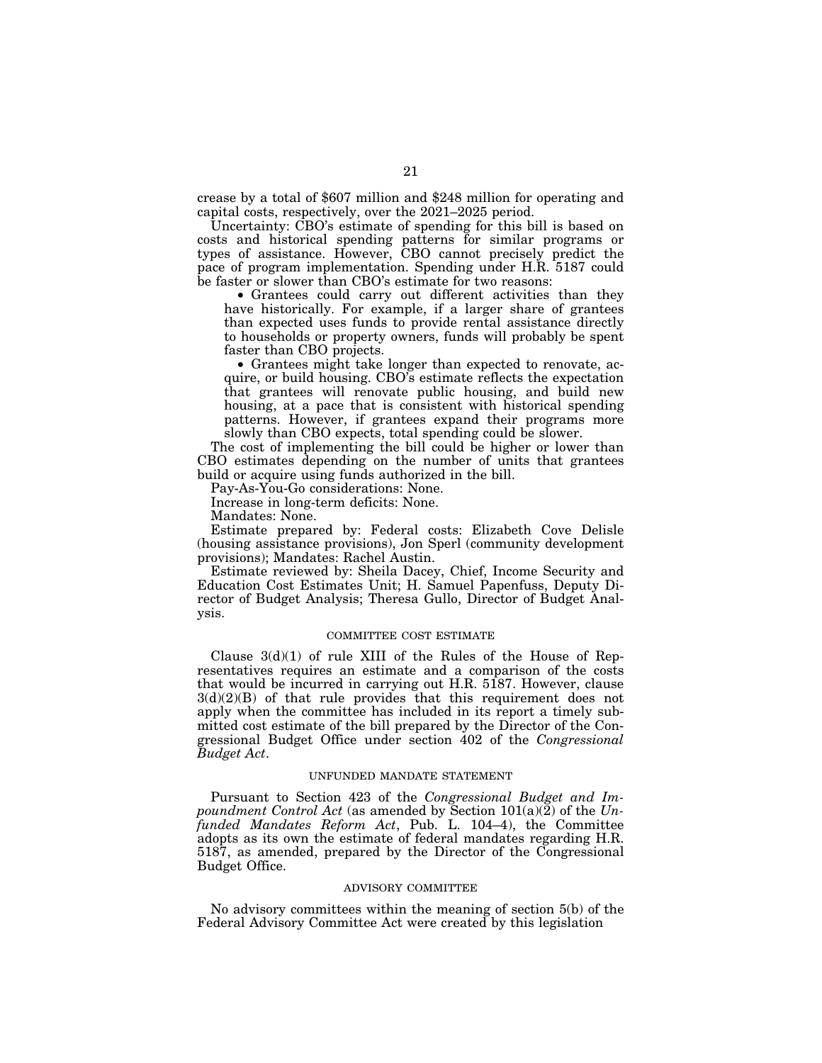crease by a total of \$607 million and \$248 million for operating and capital costs, respectively, over the 2021–2025 period.

Uncertainty: CBO's estimate of spending for this bill is based on costs and historical spending patterns for similar programs or types of assistance. However, CBO cannot precisely predict the pace of program implementation. Spending under H.R. 5187 could be faster or slower than CBO's estimate for two reasons:

• Grantees could carry out different activities than they have historically. For example, if a larger share of grantees than expected uses funds to provide rental assistance directly to households or property owners, funds will probably be spent faster than CBO projects.

• Grantees might take longer than expected to renovate, acquire, or build housing. CBO's estimate reflects the expectation that grantees will renovate public housing, and build new housing, at a pace that is consistent with historical spending patterns. However, if grantees expand their programs more slowly than CBO expects, total spending could be slower.

The cost of implementing the bill could be higher or lower than CBO estimates depending on the number of units that grantees build or acquire using funds authorized in the bill.

Pay-As-You-Go considerations: None.

Increase in long-term deficits: None.

Mandates: None.

Estimate prepared by: Federal costs: Elizabeth Cove Delisle (housing assistance provisions), Jon Sperl (community development provisions); Mandates: Rachel Austin.

Estimate reviewed by: Sheila Dacey, Chief, Income Security and Education Cost Estimates Unit; H. Samuel Papenfuss, Deputy Director of Budget Analysis; Theresa Gullo, Director of Budget Analysis.

## COMMITTEE COST ESTIMATE

Clause 3(d)(1) of rule XIII of the Rules of the House of Representatives requires an estimate and a comparison of the costs that would be incurred in carrying out H.R. 5187. However, clause  $3(d)(2)(B)$  of that rule provides that this requirement does not apply when the committee has included in its report a timely submitted cost estimate of the bill prepared by the Director of the Congressional Budget Office under section 402 of the *Congressional Budget Act*.

## UNFUNDED MANDATE STATEMENT

Pursuant to Section 423 of the *Congressional Budget and Impoundment Control Act* (as amended by Section 101(a)(2) of the *Unfunded Mandates Reform Act*, Pub. L. 104–4), the Committee adopts as its own the estimate of federal mandates regarding H.R. 5187, as amended, prepared by the Director of the Congressional Budget Office.

#### ADVISORY COMMITTEE

No advisory committees within the meaning of section 5(b) of the Federal Advisory Committee Act were created by this legislation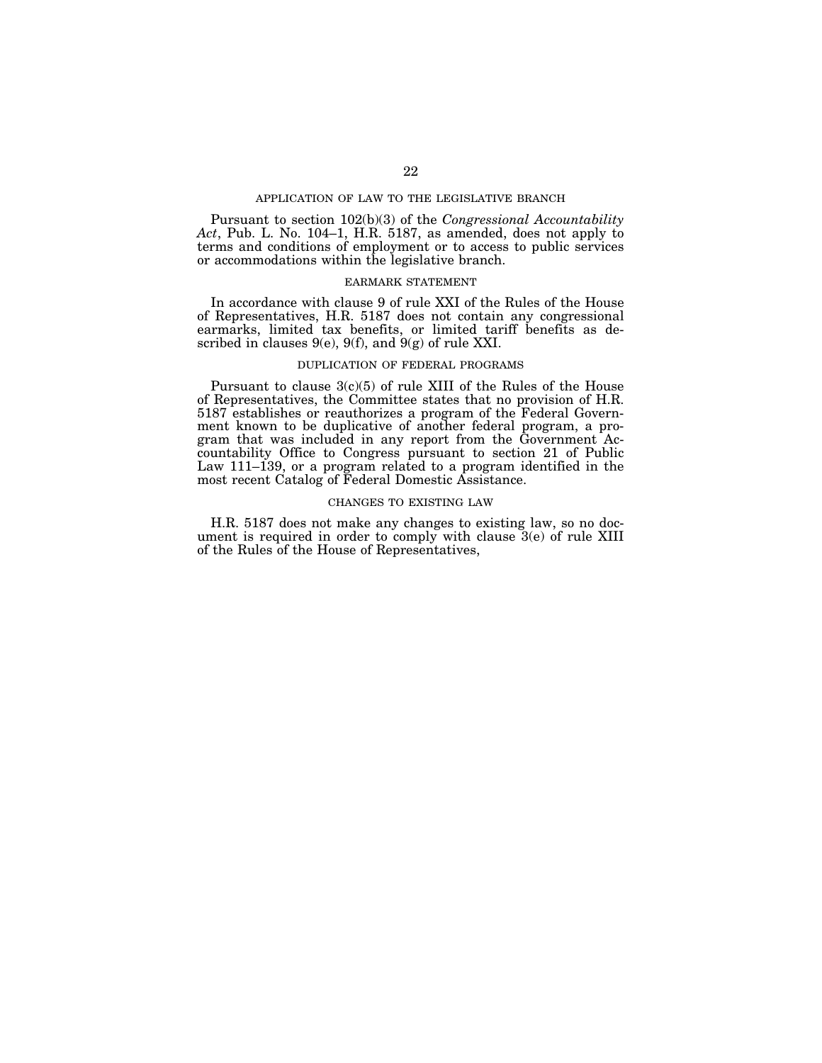#### APPLICATION OF LAW TO THE LEGISLATIVE BRANCH

Pursuant to section 102(b)(3) of the *Congressional Accountability Act*, Pub. L. No. 104–1, H.R. 5187, as amended, does not apply to terms and conditions of employment or to access to public services or accommodations within the legislative branch.

## EARMARK STATEMENT

In accordance with clause 9 of rule XXI of the Rules of the House of Representatives, H.R. 5187 does not contain any congressional earmarks, limited tax benefits, or limited tariff benefits as described in clauses  $9(e)$ ,  $9(f)$ , and  $9(g)$  of rule XXI.

## DUPLICATION OF FEDERAL PROGRAMS

Pursuant to clause  $3(c)(5)$  of rule XIII of the Rules of the House of Representatives, the Committee states that no provision of H.R. 5187 establishes or reauthorizes a program of the Federal Government known to be duplicative of another federal program, a program that was included in any report from the Government Accountability Office to Congress pursuant to section 21 of Public Law 111–139, or a program related to a program identified in the most recent Catalog of Federal Domestic Assistance.

## CHANGES TO EXISTING LAW

H.R. 5187 does not make any changes to existing law, so no document is required in order to comply with clause 3(e) of rule XIII of the Rules of the House of Representatives,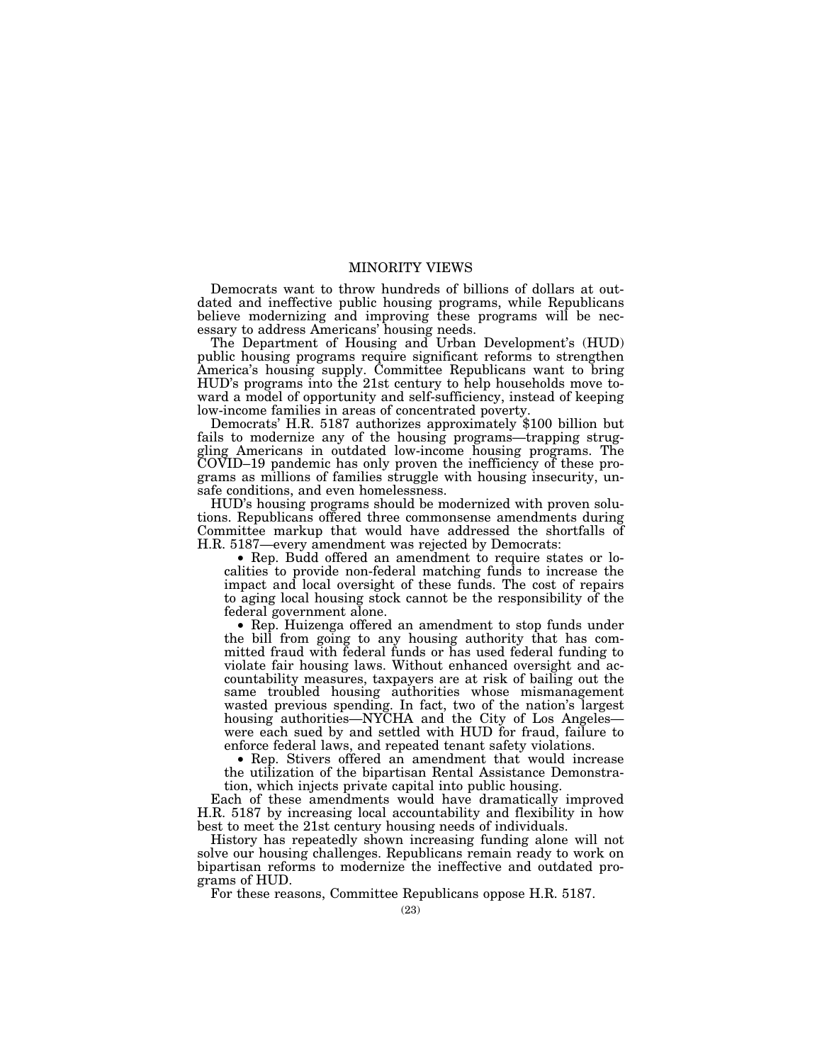# MINORITY VIEWS

Democrats want to throw hundreds of billions of dollars at outdated and ineffective public housing programs, while Republicans believe modernizing and improving these programs will be necessary to address Americans' housing needs.

The Department of Housing and Urban Development's (HUD) public housing programs require significant reforms to strengthen America's housing supply. Committee Republicans want to bring HUD's programs into the 21st century to help households move toward a model of opportunity and self-sufficiency, instead of keeping low-income families in areas of concentrated poverty.

Democrats' H.R. 5187 authorizes approximately \$100 billion but fails to modernize any of the housing programs—trapping struggling Americans in outdated low-income housing programs. The COVID–19 pandemic has only proven the inefficiency of these programs as millions of families struggle with housing insecurity, unsafe conditions, and even homelessness.

HUD's housing programs should be modernized with proven solutions. Republicans offered three commonsense amendments during Committee markup that would have addressed the shortfalls of H.R. 5187—every amendment was rejected by Democrats:

• Rep. Budd offered an amendment to require states or localities to provide non-federal matching funds to increase the impact and local oversight of these funds. The cost of repairs to aging local housing stock cannot be the responsibility of the federal government alone.

• Rep. Huizenga offered an amendment to stop funds under the bill from going to any housing authority that has committed fraud with federal funds or has used federal funding to violate fair housing laws. Without enhanced oversight and accountability measures, taxpayers are at risk of bailing out the same troubled housing authorities whose mismanagement wasted previous spending. In fact, two of the nation's largest housing authorities—NYCHA and the City of Los Angeles were each sued by and settled with HUD for fraud, failure to enforce federal laws, and repeated tenant safety violations.

• Rep. Stivers offered an amendment that would increase the utilization of the bipartisan Rental Assistance Demonstration, which injects private capital into public housing.

Each of these amendments would have dramatically improved H.R. 5187 by increasing local accountability and flexibility in how best to meet the 21st century housing needs of individuals.

History has repeatedly shown increasing funding alone will not solve our housing challenges. Republicans remain ready to work on bipartisan reforms to modernize the ineffective and outdated programs of HUD.

For these reasons, Committee Republicans oppose H.R. 5187.